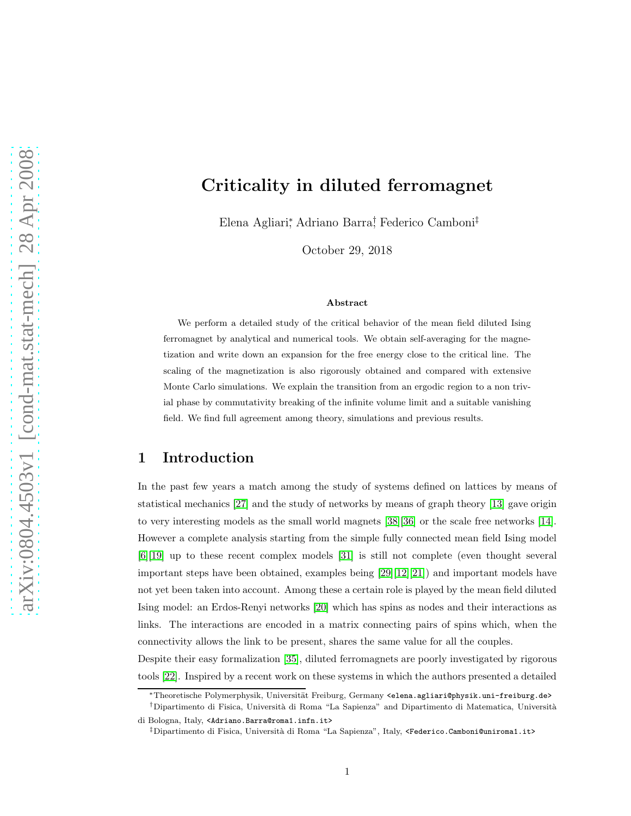# Criticality in diluted ferromagnet

Elena Agliari<sup>∗</sup> , Adriano Barra† , Federico Camboni‡

October 29, 2018

#### Abstract

We perform a detailed study of the critical behavior of the mean field diluted Ising ferromagnet by analytical and numerical tools. We obtain self-averaging for the magnetization and write down an expansion for the free energy close to the critical line. The scaling of the magnetization is also rigorously obtained and compared with extensive Monte Carlo simulations. We explain the transition from an ergodic region to a non trivial phase by commutativity breaking of the infinite volume limit and a suitable vanishing field. We find full agreement among theory, simulations and previous results.

## 1 Introduction

In the past few years a match among the study of systems defined on lattices by means of statistical mechanics [\[27\]](#page-22-0) and the study of networks by means of graph theory [\[13\]](#page-21-0) gave origin to very interesting models as the small world magnets [\[38\]](#page-22-1)[\[36\]](#page-22-2) or the scale free networks [\[14\]](#page-21-1). However a complete analysis starting from the simple fully connected mean field Ising model [\[6\]](#page-20-0)[\[19\]](#page-21-2) up to these recent complex models [\[31\]](#page-22-3) is still not complete (even thought several important steps have been obtained, examples being [\[29\]](#page-22-4)[\[12\]](#page-21-3)[\[21\]](#page-21-4)) and important models have not yet been taken into account. Among these a certain role is played by the mean field diluted Ising model: an Erdos-Renyi networks [\[20\]](#page-21-5) which has spins as nodes and their interactions as links. The interactions are encoded in a matrix connecting pairs of spins which, when the connectivity allows the link to be present, shares the same value for all the couples.

Despite their easy formalization [\[35\]](#page-22-5), diluted ferromagnets are poorly investigated by rigorous tools [\[22\]](#page-21-6). Inspired by a recent work on these systems in which the authors presented a detailed

<sup>\*</sup>Theoretische Polymerphysik, Universität Freiburg, Germany <elena.agliari@physik.uni-freiburg.de>

<sup>&</sup>lt;sup>†</sup>Dipartimento di Fisica, Università di Roma "La Sapienza" and Dipartimento di Matematica, Università di Bologna, Italy, <Adriano.Barra@roma1.infn.it>

<sup>‡</sup>Dipartimento di Fisica, Universit`a di Roma "La Sapienza", Italy, <Federico.Camboni@uniroma1.it>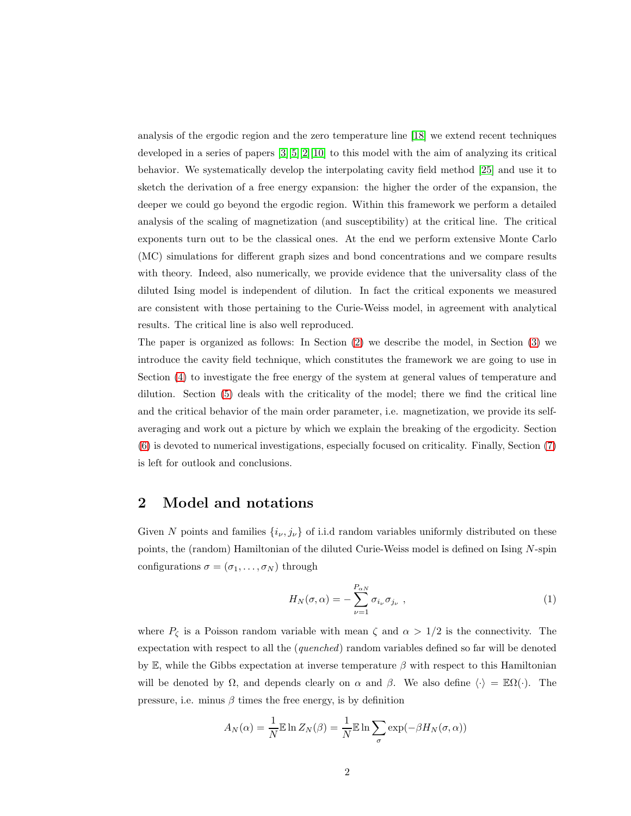analysis of the ergodic region and the zero temperature line [\[18\]](#page-21-7) we extend recent techniques developed in a series of papers [\[3\]](#page-20-1)[\[5\]](#page-20-2)[\[2\]](#page-20-3)[\[10\]](#page-21-8) to this model with the aim of analyzing its critical behavior. We systematically develop the interpolating cavity field method [\[25\]](#page-21-9) and use it to sketch the derivation of a free energy expansion: the higher the order of the expansion, the deeper we could go beyond the ergodic region. Within this framework we perform a detailed analysis of the scaling of magnetization (and susceptibility) at the critical line. The critical exponents turn out to be the classical ones. At the end we perform extensive Monte Carlo (MC) simulations for different graph sizes and bond concentrations and we compare results with theory. Indeed, also numerically, we provide evidence that the universality class of the diluted Ising model is independent of dilution. In fact the critical exponents we measured are consistent with those pertaining to the Curie-Weiss model, in agreement with analytical results. The critical line is also well reproduced.

The paper is organized as follows: In Section [\(2\)](#page-1-0) we describe the model, in Section [\(3\)](#page-2-0) we introduce the cavity field technique, which constitutes the framework we are going to use in Section [\(4\)](#page-8-0) to investigate the free energy of the system at general values of temperature and dilution. Section [\(5\)](#page-10-0) deals with the criticality of the model; there we find the critical line and the critical behavior of the main order parameter, i.e. magnetization, we provide its selfaveraging and work out a picture by which we explain the breaking of the ergodicity. Section [\(6\)](#page-16-0) is devoted to numerical investigations, especially focused on criticality. Finally, Section [\(7\)](#page-19-0) is left for outlook and conclusions.

### <span id="page-1-0"></span>2 Model and notations

Given N points and families  $\{i_{\nu}, j_{\nu}\}$  of i.i.d random variables uniformly distributed on these points, the (random) Hamiltonian of the diluted Curie-Weiss model is defined on Ising N-spin configurations  $\sigma = (\sigma_1, \ldots, \sigma_N)$  through

<span id="page-1-1"></span>
$$
H_N(\sigma,\alpha) = -\sum_{\nu=1}^{P_{\alpha N}} \sigma_{i_{\nu}} \sigma_{j_{\nu}} , \qquad (1)
$$

where  $P_{\zeta}$  is a Poisson random variable with mean  $\zeta$  and  $\alpha > 1/2$  is the connectivity. The expectation with respect to all the (quenched) random variables defined so far will be denoted by E, while the Gibbs expectation at inverse temperature  $\beta$  with respect to this Hamiltonian will be denoted by  $\Omega$ , and depends clearly on  $\alpha$  and  $\beta$ . We also define  $\langle \cdot \rangle = \mathbb{E}\Omega(\cdot)$ . The pressure, i.e. minus  $\beta$  times the free energy, is by definition

$$
A_N(\alpha) = \frac{1}{N} \mathbb{E} \ln Z_N(\beta) = \frac{1}{N} \mathbb{E} \ln \sum_{\sigma} \exp(-\beta H_N(\sigma, \alpha))
$$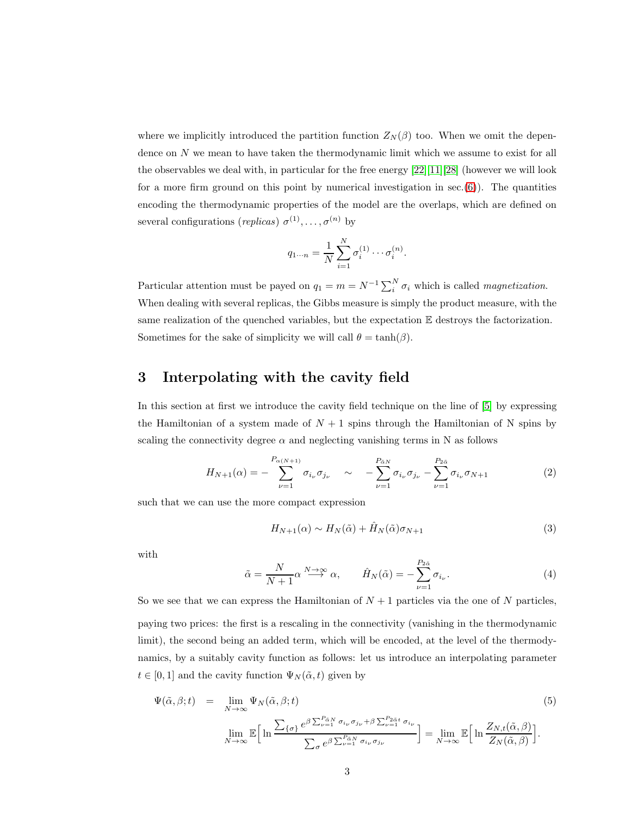where we implicitly introduced the partition function  $Z_N(\beta)$  too. When we omit the dependence on N we mean to have taken the thermodynamic limit which we assume to exist for all the observables we deal with, in particular for the free energy  $[22][11][28]$  $[22][11][28]$  $[22][11][28]$  (however we will look for a more firm ground on this point by numerical investigation in  $sec(6)$  $sec(6)$ ). The quantities encoding the thermodynamic properties of the model are the overlaps, which are defined on several configurations (*replicas*)  $\sigma^{(1)}, \ldots, \sigma^{(n)}$  by

$$
q_{1\cdots n} = \frac{1}{N} \sum_{i=1}^{N} \sigma_i^{(1)} \cdots \sigma_i^{(n)}.
$$

Particular attention must be payed on  $q_1 = m = N^{-1} \sum_i^N \sigma_i$  which is called *magnetization*. When dealing with several replicas, the Gibbs measure is simply the product measure, with the same realization of the quenched variables, but the expectation  $E$  destroys the factorization. Sometimes for the sake of simplicity we will call  $\theta = \tanh(\beta)$ .

### <span id="page-2-0"></span>3 Interpolating with the cavity field

In this section at first we introduce the cavity field technique on the line of [\[5\]](#page-20-2) by expressing the Hamiltonian of a system made of  $N + 1$  spins through the Hamiltonian of N spins by scaling the connectivity degree  $\alpha$  and neglecting vanishing terms in N as follows

$$
H_{N+1}(\alpha) = -\sum_{\nu=1}^{P_{\alpha(N+1)}} \sigma_{i_{\nu}} \sigma_{j_{\nu}} \quad \sim \quad -\sum_{\nu=1}^{P_{\tilde{\alpha}N}} \sigma_{i_{\nu}} \sigma_{j_{\nu}} - \sum_{\nu=1}^{P_{2\tilde{\alpha}}} \sigma_{i_{\nu}} \sigma_{N+1} \tag{2}
$$

such that we can use the more compact expression

<span id="page-2-1"></span>
$$
H_{N+1}(\alpha) \sim H_N(\tilde{\alpha}) + \hat{H}_N(\tilde{\alpha})\sigma_{N+1}
$$
\n(3)

with

$$
\tilde{\alpha} = \frac{N}{N+1} \alpha \stackrel{N \to \infty}{\longrightarrow} \alpha, \qquad \hat{H}_N(\tilde{\alpha}) = -\sum_{\nu=1}^{P_{2\tilde{\alpha}}} \sigma_{i_{\nu}}.
$$
\n(4)

So we see that we can express the Hamiltonian of  $N+1$  particles via the one of N particles, paying two prices: the first is a rescaling in the connectivity (vanishing in the thermodynamic limit), the second being an added term, which will be encoded, at the level of the thermodynamics, by a suitably cavity function as follows: let us introduce an interpolating parameter  $t \in [0, 1]$  and the cavity function  $\Psi_N(\tilde{\alpha}, t)$  given by

$$
\Psi(\tilde{\alpha}, \beta; t) = \lim_{N \to \infty} \Psi_N(\tilde{\alpha}, \beta; t)
$$
\n
$$
\lim_{N \to \infty} \mathbb{E} \Big[ \ln \frac{\sum_{\{\sigma\}} e^{\beta \sum_{\nu=1}^{P_{\tilde{\alpha}N}} \sigma_{i_{\nu}} \sigma_{j_{\nu}} + \beta \sum_{\nu=1}^{P_{2\tilde{\alpha}t}} \sigma_{i_{\nu}}}}{\sum_{\sigma} e^{\beta \sum_{\nu=1}^{P_{\tilde{\alpha}N}} \sigma_{i_{\nu}} \sigma_{j_{\nu}}}} \Big] = \lim_{N \to \infty} \mathbb{E} \Big[ \ln \frac{Z_{N,t}(\tilde{\alpha}, \beta)}{Z_N(\tilde{\alpha}, \beta)} \Big].
$$
\n(5)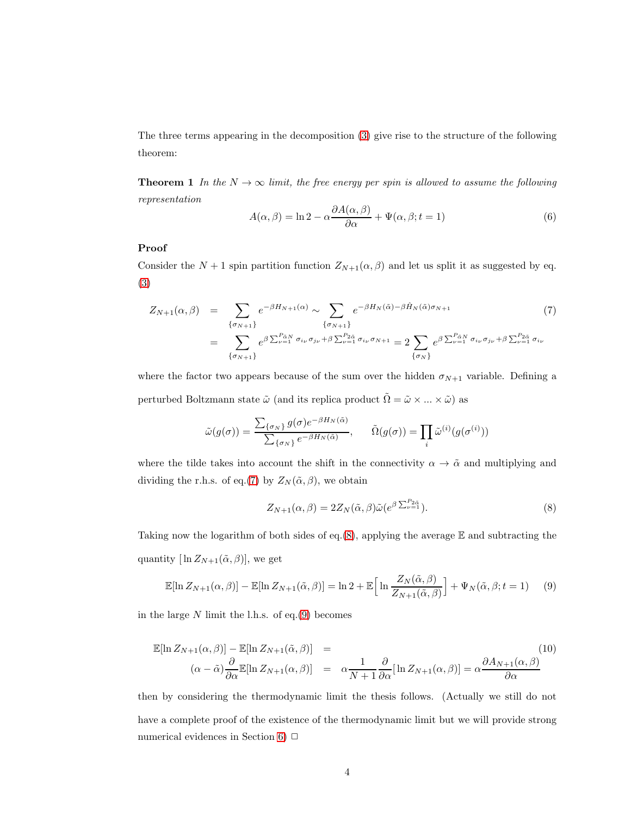<span id="page-3-3"></span>The three terms appearing in the decomposition [\(3\)](#page-2-1) give rise to the structure of the following theorem:

**Theorem 1** In the  $N \to \infty$  limit, the free energy per spin is allowed to assume the following representation

$$
A(\alpha, \beta) = \ln 2 - \alpha \frac{\partial A(\alpha, \beta)}{\partial \alpha} + \Psi(\alpha, \beta; t = 1)
$$
\n(6)

#### Proof

Consider the  $N + 1$  spin partition function  $Z_{N+1}(\alpha, \beta)$  and let us split it as suggested by eq. [\(3\)](#page-2-1)

<span id="page-3-0"></span>
$$
Z_{N+1}(\alpha,\beta) = \sum_{\{\sigma_{N+1}\}} e^{-\beta H_{N+1}(\alpha)} \sim \sum_{\{\sigma_{N+1}\}} e^{-\beta H_{N}(\tilde{\alpha}) - \beta \hat{H}_{N}(\tilde{\alpha}) \sigma_{N+1}} \tag{7}
$$

$$
= \sum_{\{\sigma_{N+1}\}} e^{\beta \sum_{\nu=1}^{P_{\tilde{\alpha}N}} \sigma_{i_{\nu}} \sigma_{j_{\nu}} + \beta \sum_{\nu=1}^{P_{\tilde{\alpha}\tilde{\alpha}}} \sigma_{i_{\nu}} \sigma_{N+1}} = 2 \sum_{\{\sigma_{N}\}} e^{\beta \sum_{\nu=1}^{P_{\tilde{\alpha}N}} \sigma_{i_{\nu}} \sigma_{j_{\nu}} + \beta \sum_{\nu=1}^{P_{\tilde{\alpha}\tilde{\alpha}}} \sigma_{i_{\nu}}}
$$

where the factor two appears because of the sum over the hidden  $\sigma_{N+1}$  variable. Defining a perturbed Boltzmann state  $\tilde{\omega}$  (and its replica product  $\tilde{\Omega}=\tilde{\omega}\times...\times\tilde{\omega})$  as

$$
\tilde{\omega}(g(\sigma)) = \frac{\sum_{\{\sigma_N\}} g(\sigma) e^{-\beta H_N(\tilde{\alpha})}}{\sum_{\{\sigma_N\}} e^{-\beta H_N(\tilde{\alpha})}}, \quad \tilde{\Omega}(g(\sigma)) = \prod_i \tilde{\omega}^{(i)}(g(\sigma^{(i)}))
$$

where the tilde takes into account the shift in the connectivity  $\alpha \to \tilde{\alpha}$  and multiplying and dividing the r.h.s. of eq.[\(7\)](#page-3-0) by  $Z_N(\tilde{\alpha}, \beta)$ , we obtain

<span id="page-3-1"></span>
$$
Z_{N+1}(\alpha,\beta) = 2Z_N(\tilde{\alpha},\beta)\tilde{\omega}(e^{\beta \sum_{\nu=1}^{P_{2\tilde{\alpha}}}}). \tag{8}
$$

Taking now the logarithm of both sides of eq.[\(8\)](#page-3-1), applying the average  $E$  and subtracting the quantity  $[\ln Z_{N+1}(\tilde{\alpha}, \beta)]$ , we get

<span id="page-3-2"></span>
$$
\mathbb{E}[\ln Z_{N+1}(\alpha,\beta)] - \mathbb{E}[\ln Z_{N+1}(\tilde{\alpha},\beta)] = \ln 2 + \mathbb{E}\Big[\ln \frac{Z_N(\tilde{\alpha},\beta)}{Z_{N+1}(\tilde{\alpha},\beta)}\Big] + \Psi_N(\tilde{\alpha},\beta;t=1)
$$
(9)

in the large  $N$  limit the l.h.s. of eq.[\(9\)](#page-3-2) becomes

$$
\mathbb{E}[\ln Z_{N+1}(\alpha,\beta)] - \mathbb{E}[\ln Z_{N+1}(\tilde{\alpha},\beta)] =
$$
\n
$$
(\alpha - \tilde{\alpha})\frac{\partial}{\partial \alpha}\mathbb{E}[\ln Z_{N+1}(\alpha,\beta)] = \alpha \frac{1}{N+1} \frac{\partial}{\partial \alpha}[\ln Z_{N+1}(\alpha,\beta)] = \alpha \frac{\partial A_{N+1}(\alpha,\beta)}{\partial \alpha}
$$
\n(10)

then by considering the thermodynamic limit the thesis follows. (Actually we still do not have a complete proof of the existence of the thermodynamic limit but we will provide strong numerical evidences in Section [6\)](#page-16-0)  $\Box$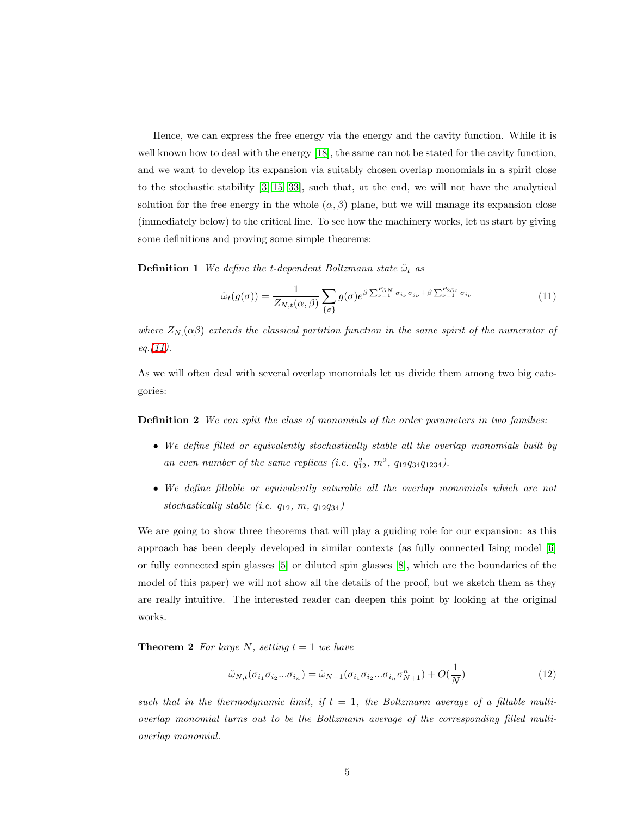Hence, we can express the free energy via the energy and the cavity function. While it is well known how to deal with the energy [\[18\]](#page-21-7), the same can not be stated for the cavity function, and we want to develop its expansion via suitably chosen overlap monomials in a spirit close to the stochastic stability [\[3\]](#page-20-1)[\[15\]](#page-21-11)[\[33\]](#page-22-7), such that, at the end, we will not have the analytical solution for the free energy in the whole  $(\alpha, \beta)$  plane, but we will manage its expansion close (immediately below) to the critical line. To see how the machinery works, let us start by giving some definitions and proving some simple theorems:

**Definition 1** We define the t-dependent Boltzmann state  $\tilde{\omega}_t$  as

<span id="page-4-0"></span>
$$
\tilde{\omega}_t(g(\sigma)) = \frac{1}{Z_{N,t}(\alpha,\beta)} \sum_{\{\sigma\}} g(\sigma) e^{\beta \sum_{\nu=1}^{P_{\tilde{\alpha}N}} \sigma_{i_{\nu}} \sigma_{j_{\nu}} + \beta \sum_{\nu=1}^{P_{2\tilde{\alpha}t}} \sigma_{i_{\nu}}}
$$
(11)

where  $Z_{N}(\alpha\beta)$  extends the classical partition function in the same spirit of the numerator of  $eq. (11).$  $eq. (11).$  $eq. (11).$ 

As we will often deal with several overlap monomials let us divide them among two big categories:

Definition 2 We can split the class of monomials of the order parameters in two families:

- We define filled or equivalently stochastically stable all the overlap monomials built by an even number of the same replicas (i.e.  $q_{12}^2$ ,  $m^2$ ,  $q_{12}q_{34}q_{1234}$ ).
- We define fillable or equivalently saturable all the overlap monomials which are not stochastically stable (i.e.  $q_{12}, m, q_{12}q_{34}$ )

We are going to show three theorems that will play a guiding role for our expansion: as this approach has been deeply developed in similar contexts (as fully connected Ising model [\[6\]](#page-20-0) or fully connected spin glasses [\[5\]](#page-20-2) or diluted spin glasses [\[8\]](#page-20-4), which are the boundaries of the model of this paper) we will not show all the details of the proof, but we sketch them as they are really intuitive. The interested reader can deepen this point by looking at the original works.

<span id="page-4-1"></span>**Theorem 2** For large N, setting  $t = 1$  we have

$$
\tilde{\omega}_{N,t}(\sigma_{i_1}\sigma_{i_2}...\sigma_{i_n}) = \tilde{\omega}_{N+1}(\sigma_{i_1}\sigma_{i_2}...\sigma_{i_n}\sigma_{N+1}^n) + O(\frac{1}{N})
$$
\n(12)

<span id="page-4-2"></span>such that in the thermodynamic limit, if  $t = 1$ , the Boltzmann average of a fillable multioverlap monomial turns out to be the Boltzmann average of the corresponding filled multioverlap monomial.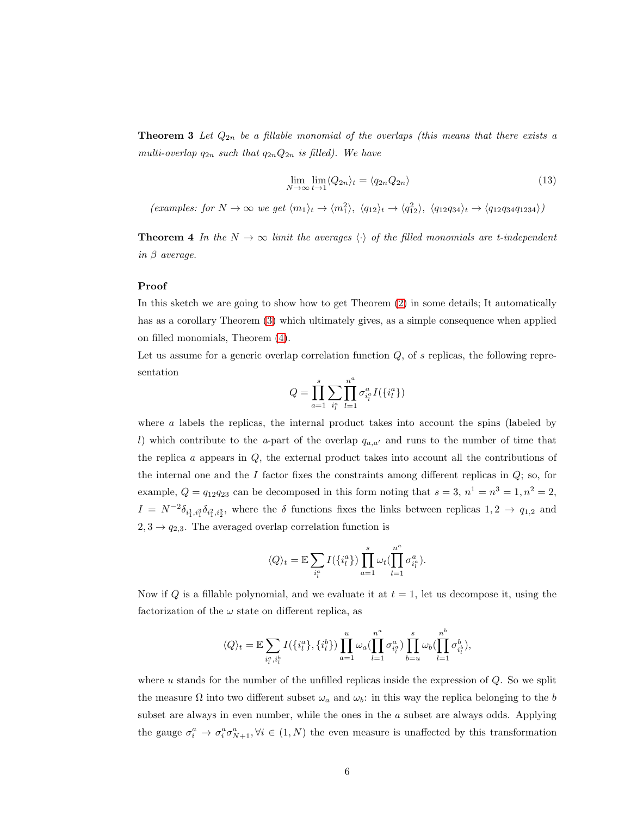**Theorem 3** Let  $Q_{2n}$  be a fillable monomial of the overlaps (this means that there exists a multi-overlap  $q_{2n}$  such that  $q_{2n}Q_{2n}$  is filled). We have

$$
\lim_{N \to \infty} \lim_{t \to 1} \langle Q_{2n} \rangle_t = \langle q_{2n} Q_{2n} \rangle \tag{13}
$$

<span id="page-5-0"></span>(examples: for  $N \to \infty$  we get  $\langle m_1 \rangle_t \to \langle m_1^2 \rangle$ ,  $\langle q_{12} \rangle_t \to \langle q_{12}^2 \rangle$ ,  $\langle q_{12}q_{34} \rangle_t \to \langle q_{12}q_{34}q_{1234} \rangle$ )

**Theorem 4** In the  $N \to \infty$  limit the averages  $\langle \cdot \rangle$  of the filled monomials are t-independent in  $\beta$  average.

#### Proof

In this sketch we are going to show how to get Theorem [\(2\)](#page-4-1) in some details; It automatically has as a corollary Theorem [\(3\)](#page-4-2) which ultimately gives, as a simple consequence when applied on filled monomials, Theorem [\(4\)](#page-5-0).

Let us assume for a generic overlap correlation function  $Q$ , of  $s$  replicas, the following representation

$$
Q=\prod_{a=1}^s\sum_{i_l^a}\prod_{l=1}^{n^a}\sigma^a_{i_l^a}I(\{i_l^a\})
$$

where  $a$  labels the replicas, the internal product takes into account the spins (labeled by l) which contribute to the a-part of the overlap  $q_{a,a'}$  and runs to the number of time that the replica  $\alpha$  appears in  $Q$ , the external product takes into account all the contributions of the internal one and the  $I$  factor fixes the constraints among different replicas in  $Q$ ; so, for example,  $Q = q_{12}q_{23}$  can be decomposed in this form noting that  $s = 3$ ,  $n^1 = n^3 = 1$ ,  $n^2 = 2$ ,  $I = N^{-2} \delta_{i_1^1, i_1^3} \delta_{i_1^2, i_2^3}$ , where the  $\delta$  functions fixes the links between replicas  $1, 2 \to q_{1,2}$  and  $2, 3 \rightarrow q_{2,3}$ . The averaged overlap correlation function is

$$
\langle Q \rangle_t = \mathbb{E} \sum_{i_l^a} I(\{i_l^a\}) \prod_{a=1}^s \omega_t \left( \prod_{l=1}^{n^a} \sigma_{i_l^a}^a \right).
$$

Now if Q is a fillable polynomial, and we evaluate it at  $t = 1$ , let us decompose it, using the factorization of the  $\omega$  state on different replica, as

$$
\langle Q \rangle_t = \mathbb{E} \sum_{i_l^a, i_l^b} I(\{i_l^a\}, \{i_l^b\}) \prod_{a=1}^u \omega_a (\prod_{l=1}^{n^a} \sigma_{i_l^a}^a) \prod_{b=u}^s \omega_b (\prod_{l=1}^{n^b} \sigma_{i_l^b}^b),
$$

where  $u$  stands for the number of the unfilled replicas inside the expression of  $Q$ . So we split the measure  $\Omega$  into two different subset  $\omega_a$  and  $\omega_b$ : in this way the replica belonging to the b subset are always in even number, while the ones in the  $a$  subset are always odds. Applying the gauge  $\sigma_i^a \to \sigma_i^a \sigma_{N+1}^a, \forall i \in (1, N)$  the even measure is unaffected by this transformation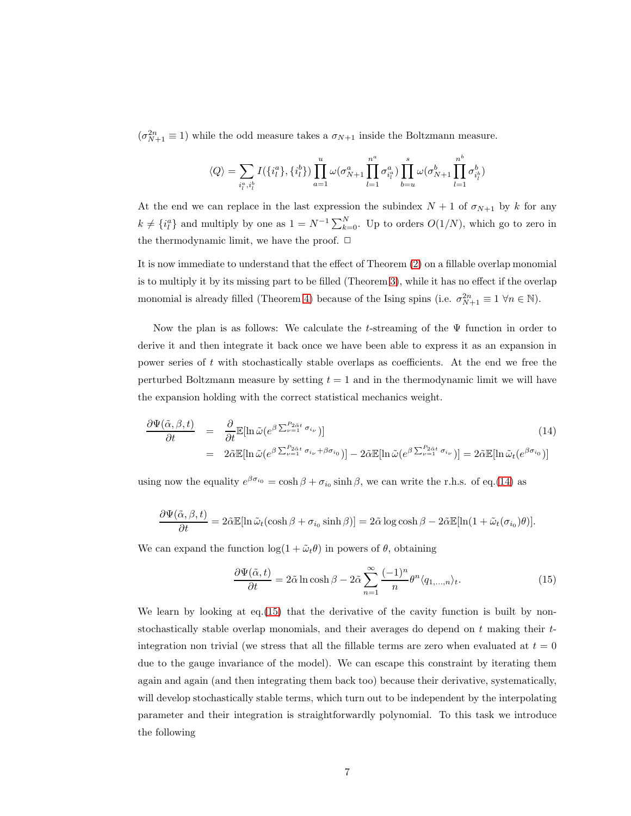$(\sigma_{N+1}^{2n} \equiv 1)$  while the odd measure takes a  $\sigma_{N+1}$  inside the Boltzmann measure.

$$
\langle Q \rangle = \sum_{i_l^a, i_l^b} I(\{i_l^a\}, \{i_l^b\}) \prod_{a=1}^u \omega(\sigma_{N+1}^a \prod_{l=1}^{n^a} \sigma_{i_l^a}^a) \prod_{b=u}^s \omega(\sigma_{N+1}^b \prod_{l=1}^{n^b} \sigma_{i_l^b}^b)
$$

At the end we can replace in the last expression the subindex  $N + 1$  of  $\sigma_{N+1}$  by k for any  $k \neq \{i_l^a\}$  and multiply by one as  $1 = N^{-1} \sum_{k=0}^N$ . Up to orders  $O(1/N)$ , which go to zero in the thermodynamic limit, we have the proof.  $\Box$ 

It is now immediate to understand that the effect of Theorem [\(2\)](#page-4-1) on a fillable overlap monomial is to multiply it by its missing part to be filled (Theorem [3\)](#page-4-2), while it has no effect if the overlap monomial is already filled (Theorem [4\)](#page-5-0) because of the Ising spins (i.e.  $\sigma_{N+1}^{2n} \equiv 1 \ \forall n \in \mathbb{N}$ ).

Now the plan is as follows: We calculate the t-streaming of the  $\Psi$  function in order to derive it and then integrate it back once we have been able to express it as an expansion in power series of t with stochastically stable overlaps as coefficients. At the end we free the perturbed Boltzmann measure by setting  $t = 1$  and in the thermodynamic limit we will have the expansion holding with the correct statistical mechanics weight.

<span id="page-6-0"></span>
$$
\frac{\partial \Psi(\tilde{\alpha}, \beta, t)}{\partial t} = \frac{\partial}{\partial t} \mathbb{E}[\ln \tilde{\omega}(e^{\beta \sum_{\nu=1}^{P_{2\tilde{\alpha}t}} \sigma_{i_{\nu}}})] \tag{14}
$$
\n
$$
= 2\tilde{\alpha} \mathbb{E}[\ln \tilde{\omega}(e^{\beta \sum_{\nu=1}^{P_{2\tilde{\alpha}t}} \sigma_{i_{\nu}} + \beta \sigma_{i_{0}}})] - 2\tilde{\alpha} \mathbb{E}[\ln \tilde{\omega}(e^{\beta \sum_{\nu=1}^{P_{2\tilde{\alpha}t}} \sigma_{i_{\nu}}})] = 2\tilde{\alpha} \mathbb{E}[\ln \tilde{\omega}(e^{\beta \sigma_{i_{0}}})]
$$

using now the equality  $e^{\beta \sigma_{i_0}} = \cosh \beta + \sigma_{i_0} \sinh \beta$ , we can write the r.h.s. of eq.[\(14\)](#page-6-0) as

$$
\frac{\partial \Psi(\tilde{\alpha}, \beta, t)}{\partial t} = 2\tilde{\alpha} \mathbb{E}[\ln \tilde{\omega}_t(\cosh \beta + \sigma_{i_0} \sinh \beta)] = 2\tilde{\alpha} \log \cosh \beta - 2\tilde{\alpha} \mathbb{E}[\ln(1 + \tilde{\omega}_t(\sigma_{i_0})\theta)].
$$

We can expand the function  $\log(1 + \tilde{\omega}_t \theta)$  in powers of  $\theta$ , obtaining

<span id="page-6-1"></span>
$$
\frac{\partial \Psi(\tilde{\alpha}, t)}{\partial t} = 2\tilde{\alpha} \ln \cosh \beta - 2\tilde{\alpha} \sum_{n=1}^{\infty} \frac{(-1)^n}{n} \theta^n \langle q_{1, \dots, n} \rangle_t.
$$
 (15)

<span id="page-6-2"></span>We learn by looking at eq.[\(15\)](#page-6-1) that the derivative of the cavity function is built by nonstochastically stable overlap monomials, and their averages do depend on  $t$  making their  $t$ integration non trivial (we stress that all the fillable terms are zero when evaluated at  $t = 0$ due to the gauge invariance of the model). We can escape this constraint by iterating them again and again (and then integrating them back too) because their derivative, systematically, will develop stochastically stable terms, which turn out to be independent by the interpolating parameter and their integration is straightforwardly polynomial. To this task we introduce the following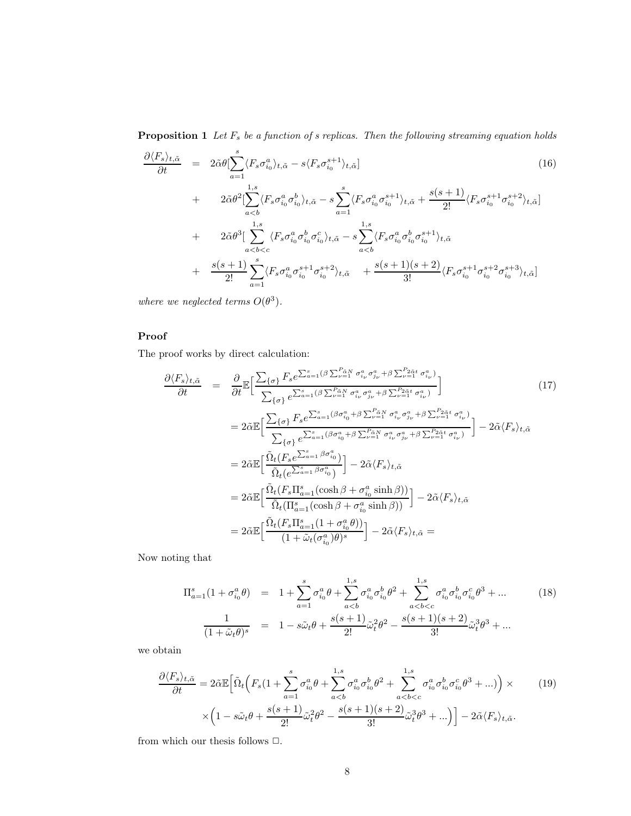**Proposition 1** Let  $F_s$  be a function of s replicas. Then the following streaming equation holds

$$
\frac{\partial \langle F_s \rangle_{t,\tilde{\alpha}}}{\partial t} = 2\tilde{\alpha}\theta \left[ \sum_{a=1}^s \langle F_s \sigma_{i_0}^a \rangle_{t,\tilde{\alpha}} - s \langle F_s \sigma_{i_0}^{s+1} \rangle_{t,\tilde{\alpha}} \right]
$$
\n
$$
+ 2\tilde{\alpha}\theta^2 \left[ \sum_{a\n
$$
+ 2\tilde{\alpha}\theta^3 \left[ \sum_{a\n
$$
+ \frac{s(s+1)}{2!} \sum_{a=1}^s \langle F_s \sigma_{i_0}^a \sigma_{i_0}^{s+1} \sigma_{i_0}^{s+2} \rangle_{t,\tilde{\alpha}} + \frac{s(s+1)(s+2)}{3!} \langle F_s \sigma_{i_0}^{s+1} \sigma_{i_0}^{s+2} \sigma_{i_0}^{s+3} \rangle_{t,\tilde{\alpha}} \right]
$$
\n(16)
$$
$$

where we neglected terms  $O(\theta^3)$ .

#### Proof

The proof works by direct calculation:

$$
\frac{\partial \langle F_s \rangle_{t,\tilde{\alpha}}}{\partial t} = \frac{\partial}{\partial t} \mathbb{E} \Big[ \frac{\sum_{\{\sigma\}} F_s e^{\sum_{a=1}^s (\beta \sum_{\nu=1}^{\rho_{\tilde{\alpha}} N} \sigma_{i_{\nu}}^a \sigma_{j_{\nu}}^a + \beta \sum_{\nu=1}^{\rho_{\tilde{\alpha}} \tilde{\alpha}} \sigma_{i_{\nu}}^a)}{\sum_{\{\sigma\}} e^{\sum_{a=1}^s (\beta \sum_{\nu=1}^{\rho_{\tilde{\alpha}} N} \sigma_{i_{\nu}}^a \sigma_{j_{\nu}}^a + \beta \sum_{\nu=1}^{\rho_{\tilde{\alpha}} \tilde{\alpha}} \sigma_{i_{\nu}}^a)} \Big] \Big]
$$
(17)  
\n
$$
= 2 \tilde{\alpha} \mathbb{E} \Big[ \frac{\sum_{\{\sigma\}} F_s e^{\sum_{a=1}^s (\beta \sigma_{i_0}^a + \beta \sum_{\nu=1}^{\rho_{\tilde{\alpha}} N} \sigma_{i_{\nu}}^a \sigma_{j_{\nu}}^a + \beta \sum_{\nu=1}^{\rho_{\tilde{\alpha}} \tilde{\alpha}} \sigma_{i_{\nu}}^a)}{\sum_{\{\sigma\}} e^{\sum_{a=1}^s (\beta \sigma_{i_0}^a + \beta \sum_{\nu=1}^{\rho_{\tilde{\alpha}} N} \sigma_{i_{\nu}}^a \sigma_{j_{\nu}}^a + \beta \sum_{\nu=1}^{\rho_{\tilde{\alpha}} \tilde{\alpha}} \sigma_{i_{\nu}}^a)} \Big] - 2 \tilde{\alpha} \langle F_s \rangle_{t,\tilde{\alpha}}
$$
  
\n
$$
= 2 \tilde{\alpha} \mathbb{E} \Big[ \frac{\tilde{\Omega}_t (F_s e^{\sum_{a=1}^s \beta \sigma_{i_0}^a})}{\tilde{\Omega}_t (e^{\sum_{a=1}^s \beta \sigma_{i_0}^a})} - 2 \tilde{\alpha} \langle F_s \rangle_{t,\tilde{\alpha}}
$$
  
\n
$$
= 2 \tilde{\alpha} \mathbb{E} \Big[ \frac{\tilde{\Omega}_t (F_s \Pi_{a=1}^s (\cosh \beta + \sigma_{i_0}^a \sinh \beta))}{\tilde{\Omega}_t (\Pi_{a=1}^s (\cosh \beta + \sigma_{i_0}^a \sinh
$$

Now noting that

$$
\Pi_{a=1}^{s}(1+\sigma_{i_0}^{a}\theta) = 1 + \sum_{a=1}^{s} \sigma_{i_0}^{a}\theta + \sum_{a\n
$$
\frac{1}{(1+\tilde{\omega}_{t}\theta)^{s}} = 1 - s\tilde{\omega}_{t}\theta + \frac{s(s+1)}{2!}\tilde{\omega}_{t}^{2}\theta^{2} - \frac{s(s+1)(s+2)}{3!}\tilde{\omega}_{t}^{3}\theta^{3} + ...
$$
\n(18)
$$

we obtain

$$
\frac{\partial \langle F_s \rangle_{t,\tilde{\alpha}}}{\partial t} = 2\tilde{\alpha}\mathbb{E}\Big[\tilde{\Omega}_t\Big(F_s(1+\sum_{a=1}^s \sigma_{i_0}^a \theta + \sum_{a\n(19)
$$

from which our thesis follows  $\Box.$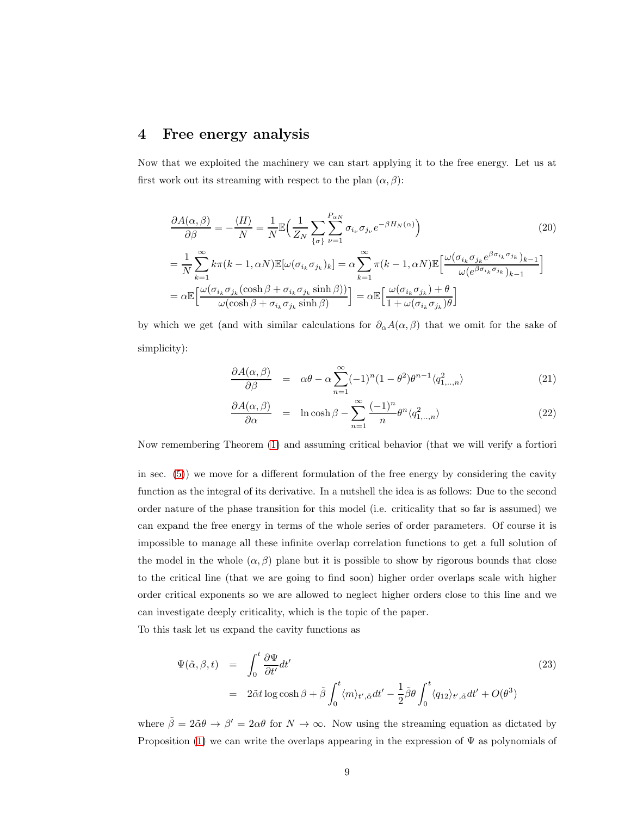### <span id="page-8-0"></span>4 Free energy analysis

Now that we exploited the machinery we can start applying it to the free energy. Let us at first work out its streaming with respect to the plan  $(\alpha, \beta)$ :

$$
\frac{\partial A(\alpha,\beta)}{\partial \beta} = -\frac{\langle H \rangle}{N} = \frac{1}{N} \mathbb{E} \Big( \frac{1}{Z_N} \sum_{\{\sigma\}} \sum_{\nu=1}^{P_{\alpha N}} \sigma_{i_{\nu}} \sigma_{j_{\nu}} e^{-\beta H_N(\alpha)} \Big) \tag{20}
$$
\n
$$
= \frac{1}{N} \sum_{k=1}^{\infty} k \pi (k-1, \alpha N) \mathbb{E} [\omega(\sigma_{i_k} \sigma_{j_k})_k] = \alpha \sum_{k=1}^{\infty} \pi (k-1, \alpha N) \mathbb{E} \Big[ \frac{\omega(\sigma_{i_k} \sigma_{j_k} e^{\beta \sigma_{i_k} \sigma_{j_k}})_{k-1}}{\omega(e^{\beta \sigma_{i_k} \sigma_{j_k}})_{k-1}} \Big]
$$
\n
$$
= \alpha \mathbb{E} \Big[ \frac{\omega(\sigma_{i_k} \sigma_{j_k} (\cosh \beta + \sigma_{i_k} \sigma_{j_k} \sinh \beta))}{\omega(\cosh \beta + \sigma_{i_k} \sigma_{j_k} \sinh \beta)} \Big] = \alpha \mathbb{E} \Big[ \frac{\omega(\sigma_{i_k} \sigma_{j_k}) + \theta}{1 + \omega(\sigma_{i_k} \sigma_{j_k}) \theta} \Big]
$$

by which we get (and with similar calculations for  $\partial_{\alpha}A(\alpha,\beta)$  that we omit for the sake of simplicity):

$$
\frac{\partial A(\alpha,\beta)}{\partial \beta} = \alpha \theta - \alpha \sum_{n=1}^{\infty} (-1)^n (1 - \theta^2) \theta^{n-1} \langle q_{1,\dots,n}^2 \rangle \tag{21}
$$

$$
\frac{\partial A(\alpha, \beta)}{\partial \alpha} = \ln \cosh \beta - \sum_{n=1}^{\infty} \frac{(-1)^n}{n} \theta^n \langle q_{1, \dots, n}^2 \rangle \tag{22}
$$

Now remembering Theorem [\(1\)](#page-3-3) and assuming critical behavior (that we will verify a fortiori

in sec. [\(5\)](#page-10-0)) we move for a different formulation of the free energy by considering the cavity function as the integral of its derivative. In a nutshell the idea is as follows: Due to the second order nature of the phase transition for this model (i.e. criticality that so far is assumed) we can expand the free energy in terms of the whole series of order parameters. Of course it is impossible to manage all these infinite overlap correlation functions to get a full solution of the model in the whole  $(\alpha, \beta)$  plane but it is possible to show by rigorous bounds that close to the critical line (that we are going to find soon) higher order overlaps scale with higher order critical exponents so we are allowed to neglect higher orders close to this line and we can investigate deeply criticality, which is the topic of the paper.

To this task let us expand the cavity functions as

$$
\Psi(\tilde{\alpha}, \beta, t) = \int_0^t \frac{\partial \Psi}{\partial t'} dt'
$$
\n
$$
= 2 \tilde{\alpha} t \log \cosh \beta + \tilde{\beta} \int_0^t \langle m \rangle_{t', \tilde{\alpha}} dt' - \frac{1}{2} \tilde{\beta} \theta \int_0^t \langle q_{12} \rangle_{t', \tilde{\alpha}} dt' + O(\theta^3)
$$
\n(23)

where  $\tilde{\beta} = 2\tilde{\alpha}\theta \to \beta' = 2\alpha\theta$  for  $N \to \infty$ . Now using the streaming equation as dictated by Proposition [\(1\)](#page-6-2) we can write the overlaps appearing in the expression of  $\Psi$  as polynomials of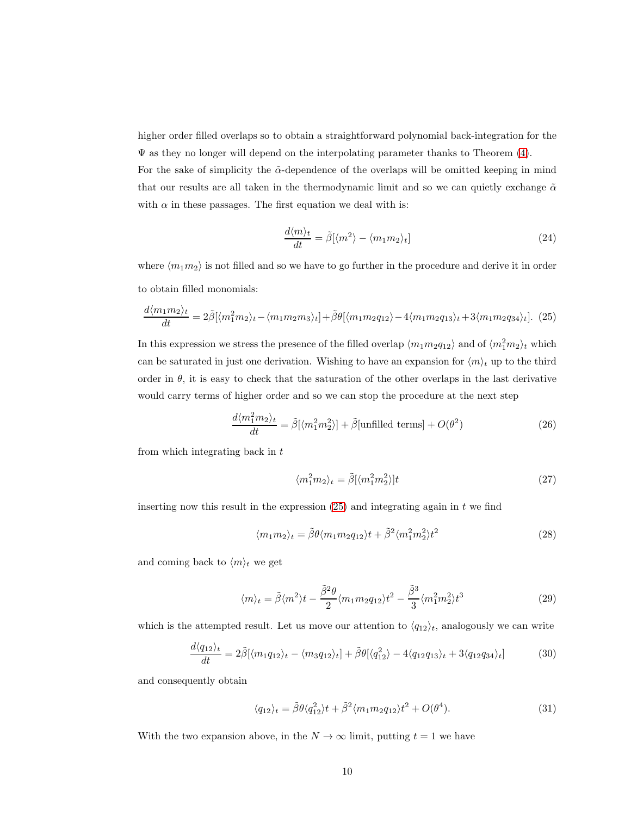higher order filled overlaps so to obtain a straightforward polynomial back-integration for the  $\Psi$  as they no longer will depend on the interpolating parameter thanks to Theorem  $(4)$ .

For the sake of simplicity the  $\tilde{\alpha}$ -dependence of the overlaps will be omitted keeping in mind that our results are all taken in the thermodynamic limit and so we can quietly exchange  $\tilde{\alpha}$ with  $\alpha$  in these passages. The first equation we deal with is:

$$
\frac{d\langle m\rangle_t}{dt} = \tilde{\beta}[\langle m^2 \rangle - \langle m_1 m_2 \rangle_t]
$$
 (24)

where  $\langle m_1m_2 \rangle$  is not filled and so we have to go further in the procedure and derive it in order to obtain filled monomials:

<span id="page-9-0"></span>
$$
\frac{d\langle m_1 m_2 \rangle_t}{dt} = 2\tilde{\beta}[\langle m_1^2 m_2 \rangle_t - \langle m_1 m_2 m_3 \rangle_t] + \tilde{\beta}\theta[\langle m_1 m_2 q_{12} \rangle - 4\langle m_1 m_2 q_{13} \rangle_t + 3\langle m_1 m_2 q_{34} \rangle_t].
$$
 (25)

In this expression we stress the presence of the filled overlap  $\langle m_1 m_2 q_{12} \rangle$  and of  $\langle m_1^2 m_2 \rangle_t$  which can be saturated in just one derivation. Wishing to have an expansion for  $\langle m \rangle_t$  up to the third order in  $\theta$ , it is easy to check that the saturation of the other overlaps in the last derivative would carry terms of higher order and so we can stop the procedure at the next step

$$
\frac{d\langle m_1^2 m_2\rangle_t}{dt} = \tilde{\beta}[\langle m_1^2 m_2^2\rangle] + \tilde{\beta}[\text{unfilled terms}] + O(\theta^2)
$$
\n(26)

from which integrating back in  $t$ 

$$
\langle m_1^2 m_2 \rangle_t = \tilde{\beta} [\langle m_1^2 m_2^2 \rangle] t \tag{27}
$$

inserting now this result in the expression  $(25)$  and integrating again in t we find

$$
\langle m_1 m_2 \rangle_t = \tilde{\beta} \theta \langle m_1 m_2 q_{12} \rangle t + \tilde{\beta}^2 \langle m_1^2 m_2^2 \rangle t^2 \tag{28}
$$

and coming back to  $\langle m \rangle_t$  we get

<span id="page-9-1"></span>
$$
\langle m \rangle_t = \tilde{\beta} \langle m^2 \rangle t - \frac{\tilde{\beta}^2 \theta}{2} \langle m_1 m_2 q_{12} \rangle t^2 - \frac{\tilde{\beta}^3}{3} \langle m_1^2 m_2^2 \rangle t^3 \tag{29}
$$

which is the attempted result. Let us move our attention to  $\langle q_{12} \rangle_t$ , analogously we can write

$$
\frac{d\langle q_{12}\rangle_t}{dt} = 2\tilde{\beta}[\langle m_1q_{12}\rangle_t - \langle m_3q_{12}\rangle_t] + \tilde{\beta}\theta[\langle q_{12}^2\rangle - 4\langle q_{12}q_{13}\rangle_t + 3\langle q_{12}q_{34}\rangle_t]
$$
(30)

and consequently obtain

<span id="page-9-2"></span>
$$
\langle q_{12}\rangle_t = \tilde{\beta}\theta \langle q_{12}^2\rangle t + \tilde{\beta}^2 \langle m_1 m_2 q_{12}\rangle t^2 + O(\theta^4). \tag{31}
$$

With the two expansion above, in the  $N \to \infty$  limit, putting  $t = 1$  we have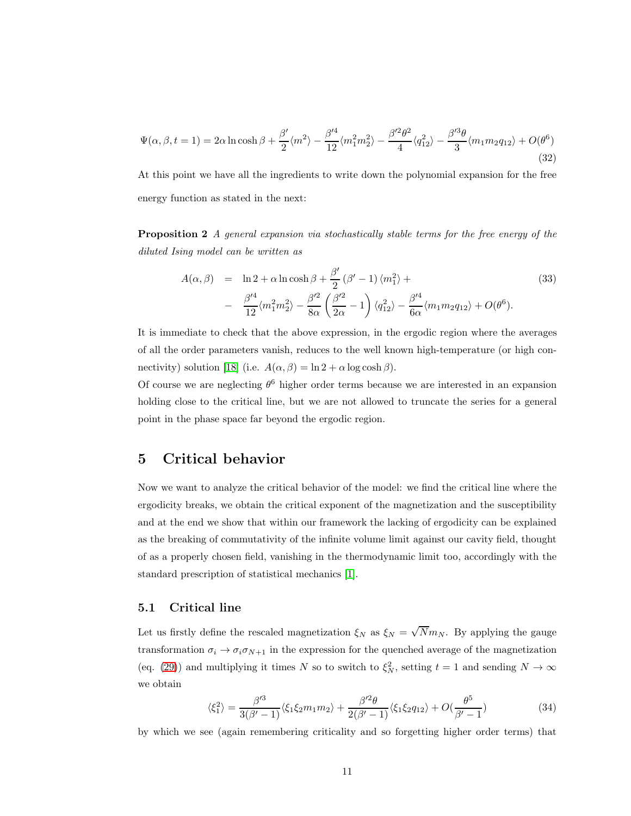$$
\Psi(\alpha,\beta,t=1) = 2\alpha \ln \cosh \beta + \frac{\beta'}{2} \langle m^2 \rangle - \frac{\beta'^4}{12} \langle m_1^2 m_2^2 \rangle - \frac{\beta'^2 \theta^2}{4} \langle q_{12}^2 \rangle - \frac{\beta'^3 \theta}{3} \langle m_1 m_2 q_{12} \rangle + O(\theta^6)
$$
\n(32)

At this point we have all the ingredients to write down the polynomial expansion for the free energy function as stated in the next:

Proposition 2 A general expansion via stochastically stable terms for the free energy of the diluted Ising model can be written as

<span id="page-10-1"></span>
$$
A(\alpha, \beta) = \ln 2 + \alpha \ln \cosh \beta + \frac{\beta'}{2} (\beta' - 1) \langle m_1^2 \rangle +
$$
  

$$
- \frac{\beta'^4}{12} \langle m_1^2 m_2^2 \rangle - \frac{\beta'^2}{8\alpha} \left( \frac{\beta'^2}{2\alpha} - 1 \right) \langle q_{12}^2 \rangle - \frac{\beta'^4}{6\alpha} \langle m_1 m_2 q_{12} \rangle + O(\theta^6).
$$
 (33)

It is immediate to check that the above expression, in the ergodic region where the averages of all the order parameters vanish, reduces to the well known high-temperature (or high con-nectivity) solution [\[18\]](#page-21-7) (i.e.  $A(\alpha, \beta) = \ln 2 + \alpha \log \cosh \beta$ ).

Of course we are neglecting  $\theta^6$  higher order terms because we are interested in an expansion holding close to the critical line, but we are not allowed to truncate the series for a general point in the phase space far beyond the ergodic region.

### <span id="page-10-0"></span>5 Critical behavior

Now we want to analyze the critical behavior of the model: we find the critical line where the ergodicity breaks, we obtain the critical exponent of the magnetization and the susceptibility and at the end we show that within our framework the lacking of ergodicity can be explained as the breaking of commutativity of the infinite volume limit against our cavity field, thought of as a properly chosen field, vanishing in the thermodynamic limit too, accordingly with the standard prescription of statistical mechanics [\[1\]](#page-20-5).

#### 5.1 Critical line

Let us firstly define the rescaled magnetization  $\xi_N$  as  $\xi_N = \sqrt{N} m_N$ . By applying the gauge transformation  $\sigma_i \to \sigma_i \sigma_{N+1}$  in the expression for the quenched average of the magnetization (eq. [\(29\)](#page-9-1)) and multiplying it times N so to switch to  $\xi_N^2$ , setting  $t = 1$  and sending  $N \to \infty$ we obtain

$$
\langle \xi_1^2 \rangle = \frac{\beta'^3}{3(\beta'-1)} \langle \xi_1 \xi_2 m_1 m_2 \rangle + \frac{\beta'^2 \theta}{2(\beta'-1)} \langle \xi_1 \xi_2 q_{12} \rangle + O(\frac{\theta^5}{\beta'-1})
$$
(34)

by which we see (again remembering criticality and so forgetting higher order terms) that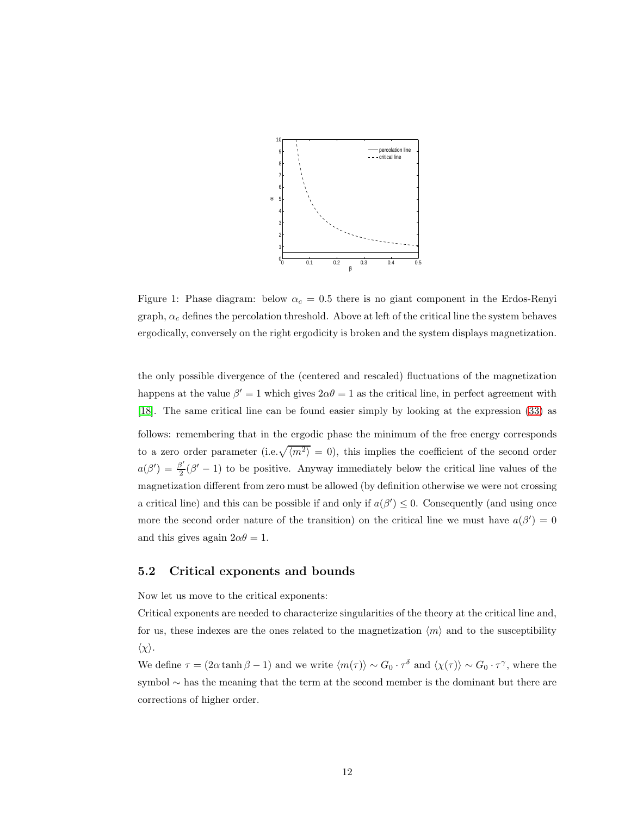

Figure 1: Phase diagram: below  $\alpha_c = 0.5$  there is no giant component in the Erdos-Renyi graph,  $\alpha_c$  defines the percolation threshold. Above at left of the critical line the system behaves ergodically, conversely on the right ergodicity is broken and the system displays magnetization.

the only possible divergence of the (centered and rescaled) fluctuations of the magnetization happens at the value  $\beta' = 1$  which gives  $2\alpha\theta = 1$  as the critical line, in perfect agreement with [\[18\]](#page-21-7). The same critical line can be found easier simply by looking at the expression [\(33\)](#page-10-1) as follows: remembering that in the ergodic phase the minimum of the free energy corresponds to a zero order parameter (i.e.  $\sqrt{\langle m^2 \rangle} = 0$ ), this implies the coefficient of the second order  $a(\beta') = \frac{\beta'}{2}$  $\frac{3^2}{2}(\beta'-1)$  to be positive. Anyway immediately below the critical line values of the magnetization different from zero must be allowed (by definition otherwise we were not crossing a critical line) and this can be possible if and only if  $a(\beta') \leq 0$ . Consequently (and using once more the second order nature of the transition) on the critical line we must have  $a(\beta') = 0$ and this gives again  $2\alpha\theta = 1$ .

### 5.2 Critical exponents and bounds

Now let us move to the critical exponents:

Critical exponents are needed to characterize singularities of the theory at the critical line and, for us, these indexes are the ones related to the magnetization  $\langle m \rangle$  and to the susceptibility  $\langle \chi \rangle$ .

We define  $\tau = (2\alpha \tanh \beta - 1)$  and we write  $\langle m(\tau) \rangle \sim G_0 \cdot \tau^{\delta}$  and  $\langle \chi(\tau) \rangle \sim G_0 \cdot \tau^{\gamma}$ , where the symbol ∼ has the meaning that the term at the second member is the dominant but there are corrections of higher order.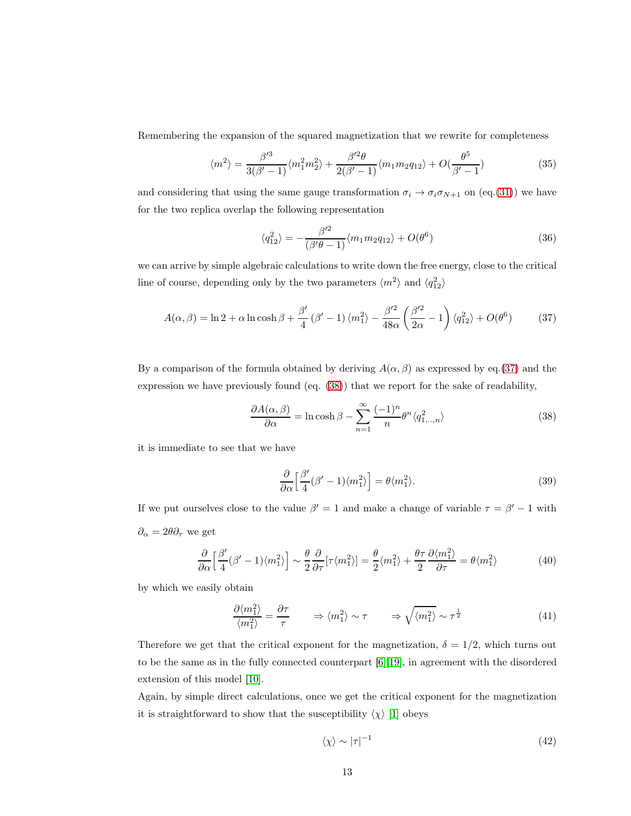Remembering the expansion of the squared magnetization that we rewrite for completeness

$$
\langle m^2 \rangle = \frac{\beta'^3}{3(\beta'-1)} \langle m_1^2 m_2^2 \rangle + \frac{\beta'^2 \theta}{2(\beta'-1)} \langle m_1 m_2 q_{12} \rangle + O(\frac{\theta^5}{\beta'-1})
$$
(35)

and considering that using the same gauge transformation  $\sigma_i \to \sigma_i \sigma_{N+1}$  on (eq.[\(31\)](#page-9-2)) we have for the two replica overlap the following representation

$$
\langle q_{12}^2 \rangle = -\frac{\beta'^2}{(\beta'\theta - 1)} \langle m_1 m_2 q_{12} \rangle + O(\theta^6)
$$
\n(36)

we can arrive by simple algebraic calculations to write down the free energy, close to the critical line of course, depending only by the two parameters  $\langle m^2 \rangle$  and  $\langle q_{12}^2 \rangle$ 

<span id="page-12-0"></span>
$$
A(\alpha, \beta) = \ln 2 + \alpha \ln \cosh \beta + \frac{\beta'}{4} (\beta' - 1) \langle m_1^2 \rangle - \frac{\beta'^2}{48\alpha} \left( \frac{\beta'^2}{2\alpha} - 1 \right) \langle q_{12}^2 \rangle + O(\theta^6)
$$
 (37)

By a comparison of the formula obtained by deriving  $A(\alpha, \beta)$  as expressed by eq.[\(37\)](#page-12-0) and the expression we have previously found (eq. [\(38\)](#page-12-1)) that we report for the sake of readability,

<span id="page-12-1"></span>
$$
\frac{\partial A(\alpha,\beta)}{\partial \alpha} = \ln \cosh \beta - \sum_{n=1}^{\infty} \frac{(-1)^n}{n} \theta^n \langle q_{1,\dots,n}^2 \rangle \tag{38}
$$

it is immediate to see that we have

$$
\frac{\partial}{\partial \alpha} \left[ \frac{\beta'}{4} (\beta' - 1) \langle m_1^2 \rangle \right] = \theta \langle m_1^2 \rangle. \tag{39}
$$

If we put ourselves close to the value  $\beta' = 1$  and make a change of variable  $\tau = \beta' - 1$  with  $\partial_{\alpha} = 2\theta \partial_{\tau}$  we get

$$
\frac{\partial}{\partial \alpha} \left[ \frac{\beta'}{4} (\beta' - 1) \langle m_1^2 \rangle \right] \sim \frac{\theta}{2} \frac{\partial}{\partial \tau} [\tau \langle m_1^2 \rangle] = \frac{\theta}{2} \langle m_1^2 \rangle + \frac{\theta \tau}{2} \frac{\partial \langle m_1^2 \rangle}{\partial \tau} = \theta \langle m_1^2 \rangle \tag{40}
$$

by which we easily obtain

$$
\frac{\partial \langle m_1^2 \rangle}{\langle m_1^2 \rangle} = \frac{\partial \tau}{\tau} \qquad \Rightarrow \langle m_1^2 \rangle \sim \tau \qquad \Rightarrow \sqrt{\langle m_1^2 \rangle} \sim \tau^{\frac{1}{2}} \tag{41}
$$

Therefore we get that the critical exponent for the magnetization,  $\delta = 1/2$ , which turns out to be the same as in the fully connected counterpart [\[6\]](#page-20-0)[\[19\]](#page-21-2), in agreement with the disordered extension of this model [\[10\]](#page-21-8).

Again, by simple direct calculations, once we get the critical exponent for the magnetization it is straightforward to show that the susceptibility  $\langle \chi \rangle$  [\[1\]](#page-20-5) obeys

$$
\langle \chi \rangle \sim |\tau|^{-1} \tag{42}
$$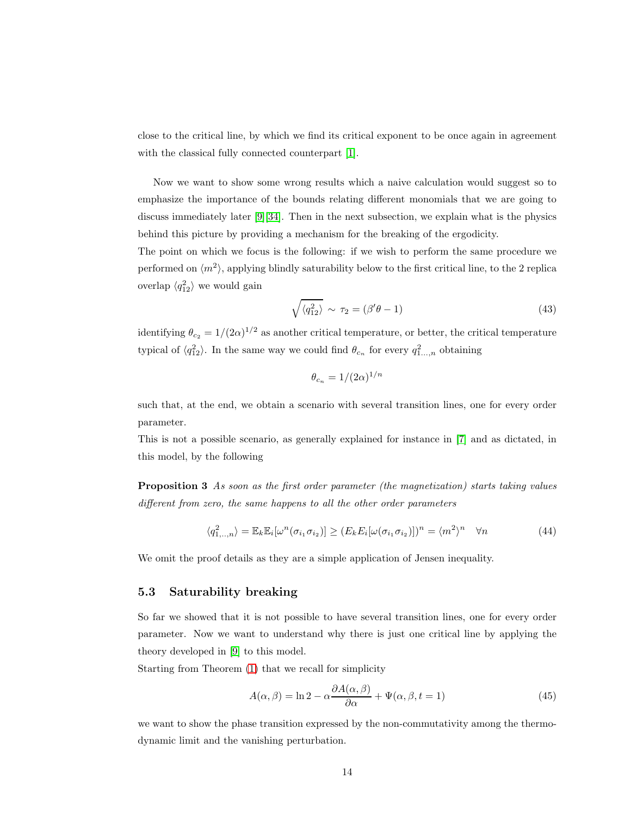close to the critical line, by which we find its critical exponent to be once again in agreement with the classical fully connected counterpart [\[1\]](#page-20-5).

Now we want to show some wrong results which a naive calculation would suggest so to emphasize the importance of the bounds relating different monomials that we are going to discuss immediately later [\[9\]](#page-20-6)[\[34\]](#page-22-8). Then in the next subsection, we explain what is the physics behind this picture by providing a mechanism for the breaking of the ergodicity.

The point on which we focus is the following: if we wish to perform the same procedure we performed on  $\langle m^2 \rangle$ , applying blindly saturability below to the first critical line, to the 2 replica overlap  $\langle q_{12}^2 \rangle$  we would gain

$$
\sqrt{\langle q_{12}^2 \rangle} \sim \tau_2 = (\beta' \theta - 1) \tag{43}
$$

identifying  $\theta_{c_2} = 1/(2\alpha)^{1/2}$  as another critical temperature, or better, the critical temperature typical of  $\langle q_{12}^2 \rangle$ . In the same way we could find  $\theta_{c_n}$  for every  $q_{1...n}^2$  obtaining

$$
\theta_{c_n} = 1/(2\alpha)^{1/n}
$$

such that, at the end, we obtain a scenario with several transition lines, one for every order parameter.

This is not a possible scenario, as generally explained for instance in [\[7\]](#page-20-7) and as dictated, in this model, by the following

Proposition 3 As soon as the first order parameter (the magnetization) starts taking values different from zero, the same happens to all the other order parameters

$$
\langle q_{1,..,n}^2 \rangle = \mathbb{E}_k \mathbb{E}_i[\omega^n(\sigma_{i_1} \sigma_{i_2})] \ge (E_k E_i[\omega(\sigma_{i_1} \sigma_{i_2})])^n = \langle m^2 \rangle^n \quad \forall n \tag{44}
$$

We omit the proof details as they are a simple application of Jensen inequality.

#### 5.3 Saturability breaking

So far we showed that it is not possible to have several transition lines, one for every order parameter. Now we want to understand why there is just one critical line by applying the theory developed in [\[9\]](#page-20-6) to this model.

Starting from Theorem [\(1\)](#page-3-3) that we recall for simplicity

$$
A(\alpha, \beta) = \ln 2 - \alpha \frac{\partial A(\alpha, \beta)}{\partial \alpha} + \Psi(\alpha, \beta, t = 1)
$$
\n(45)

we want to show the phase transition expressed by the non-commutativity among the thermodynamic limit and the vanishing perturbation.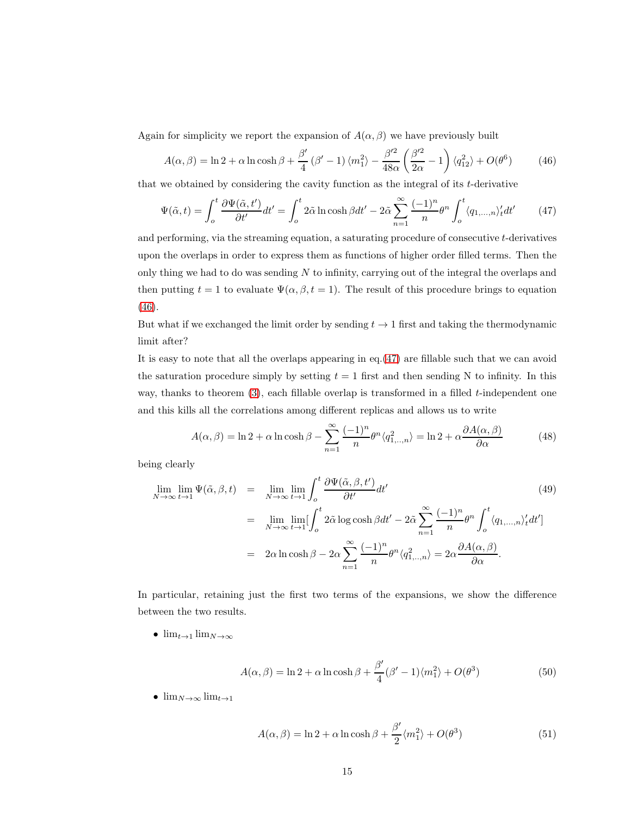Again for simplicity we report the expansion of  $A(\alpha, \beta)$  we have previously built

<span id="page-14-0"></span>
$$
A(\alpha, \beta) = \ln 2 + \alpha \ln \cosh \beta + \frac{\beta'}{4} (\beta' - 1) \langle m_1^2 \rangle - \frac{\beta'^2}{48\alpha} \left( \frac{\beta'^2}{2\alpha} - 1 \right) \langle q_{12}^2 \rangle + O(\theta^6)
$$
 (46)

that we obtained by considering the cavity function as the integral of its t-derivative

<span id="page-14-1"></span>
$$
\Psi(\tilde{\alpha},t) = \int_o^t \frac{\partial \Psi(\tilde{\alpha},t')}{\partial t'}dt' = \int_o^t 2\tilde{\alpha}\ln\cosh\beta dt' - 2\tilde{\alpha}\sum_{n=1}^\infty \frac{(-1)^n}{n}\theta^n \int_o^t \langle q_{1,...,n} \rangle_t' dt' \qquad (47)
$$

and performing, via the streaming equation, a saturating procedure of consecutive t-derivatives upon the overlaps in order to express them as functions of higher order filled terms. Then the only thing we had to do was sending  $N$  to infinity, carrying out of the integral the overlaps and then putting  $t = 1$  to evaluate  $\Psi(\alpha, \beta, t = 1)$ . The result of this procedure brings to equation [\(46\)](#page-14-0).

But what if we exchanged the limit order by sending  $t \to 1$  first and taking the thermodynamic limit after?

It is easy to note that all the overlaps appearing in eq.[\(47\)](#page-14-1) are fillable such that we can avoid the saturation procedure simply by setting  $t = 1$  first and then sending N to infinity. In this way, thanks to theorem  $(3)$ , each fillable overlap is transformed in a filled t-independent one and this kills all the correlations among different replicas and allows us to write

$$
A(\alpha, \beta) = \ln 2 + \alpha \ln \cosh \beta - \sum_{n=1}^{\infty} \frac{(-1)^n}{n} \theta^n \langle q_{1, \dots, n}^2 \rangle = \ln 2 + \alpha \frac{\partial A(\alpha, \beta)}{\partial \alpha}
$$
(48)

being clearly

$$
\lim_{N \to \infty} \lim_{t \to 1} \Psi(\tilde{\alpha}, \beta, t) = \lim_{N \to \infty} \lim_{t \to 1} \int_{0}^{t} \frac{\partial \Psi(\tilde{\alpha}, \beta, t')}{\partial t'} dt'
$$
\n
$$
= \lim_{N \to \infty} \lim_{t \to 1} \left[ \int_{0}^{t} 2\tilde{\alpha} \log \cosh \beta dt' - 2\tilde{\alpha} \sum_{n=1}^{\infty} \frac{(-1)^{n}}{n} \theta^{n} \int_{0}^{t} \langle q_{1,...,n} \rangle'_{t} dt' \right]
$$
\n
$$
= 2\alpha \ln \cosh \beta - 2\alpha \sum_{n=1}^{\infty} \frac{(-1)^{n}}{n} \theta^{n} \langle q_{1,...,n}^{2} \rangle = 2\alpha \frac{\partial A(\alpha, \beta)}{\partial \alpha}.
$$
\n(49)

In particular, retaining just the first two terms of the expansions, we show the difference between the two results.

•  $\lim_{t\to 1} \lim_{N\to\infty}$ 

<span id="page-14-2"></span>
$$
A(\alpha, \beta) = \ln 2 + \alpha \ln \cosh \beta + \frac{\beta'}{4} (\beta' - 1) \langle m_1^2 \rangle + O(\theta^3)
$$
 (50)

•  $\lim_{N\to\infty}$   $\lim_{t\to 1}$ 

<span id="page-14-3"></span>
$$
A(\alpha, \beta) = \ln 2 + \alpha \ln \cosh \beta + \frac{\beta'}{2} \langle m_1^2 \rangle + O(\theta^3)
$$
 (51)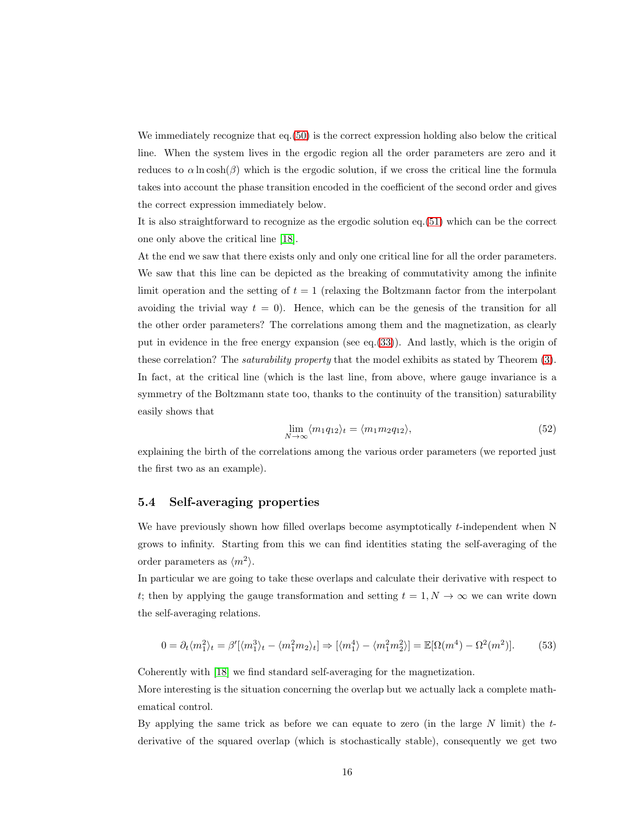We immediately recognize that eq.[\(50\)](#page-14-2) is the correct expression holding also below the critical line. When the system lives in the ergodic region all the order parameters are zero and it reduces to  $\alpha \ln \cosh(\beta)$  which is the ergodic solution, if we cross the critical line the formula takes into account the phase transition encoded in the coefficient of the second order and gives the correct expression immediately below.

It is also straightforward to recognize as the ergodic solution eq.[\(51\)](#page-14-3) which can be the correct one only above the critical line [\[18\]](#page-21-7).

At the end we saw that there exists only and only one critical line for all the order parameters. We saw that this line can be depicted as the breaking of commutativity among the infinite limit operation and the setting of  $t = 1$  (relaxing the Boltzmann factor from the interpolant avoiding the trivial way  $t = 0$ . Hence, which can be the genesis of the transition for all the other order parameters? The correlations among them and the magnetization, as clearly put in evidence in the free energy expansion (see eq.[\(33\)](#page-10-1)). And lastly, which is the origin of these correlation? The saturability property that the model exhibits as stated by Theorem [\(3\)](#page-4-2). In fact, at the critical line (which is the last line, from above, where gauge invariance is a symmetry of the Boltzmann state too, thanks to the continuity of the transition) saturability easily shows that

$$
\lim_{N \to \infty} \langle m_1 q_{12} \rangle_t = \langle m_1 m_2 q_{12} \rangle, \tag{52}
$$

explaining the birth of the correlations among the various order parameters (we reported just the first two as an example).

#### 5.4 Self-averaging properties

We have previously shown how filled overlaps become asymptotically  $t$ -independent when N grows to infinity. Starting from this we can find identities stating the self-averaging of the order parameters as  $\langle m^2 \rangle$ .

In particular we are going to take these overlaps and calculate their derivative with respect to t; then by applying the gauge transformation and setting  $t = 1, N \rightarrow \infty$  we can write down the self-averaging relations.

$$
0 = \partial_t \langle m_1^2 \rangle_t = \beta' [\langle m_1^3 \rangle_t - \langle m_1^2 m_2 \rangle_t] \Rightarrow [\langle m_1^4 \rangle - \langle m_1^2 m_2^2 \rangle] = \mathbb{E}[\Omega(m^4) - \Omega^2(m^2)]. \tag{53}
$$

Coherently with [\[18\]](#page-21-7) we find standard self-averaging for the magnetization.

More interesting is the situation concerning the overlap but we actually lack a complete mathematical control.

By applying the same trick as before we can equate to zero (in the large  $N$  limit) the  $t$ derivative of the squared overlap (which is stochastically stable), consequently we get two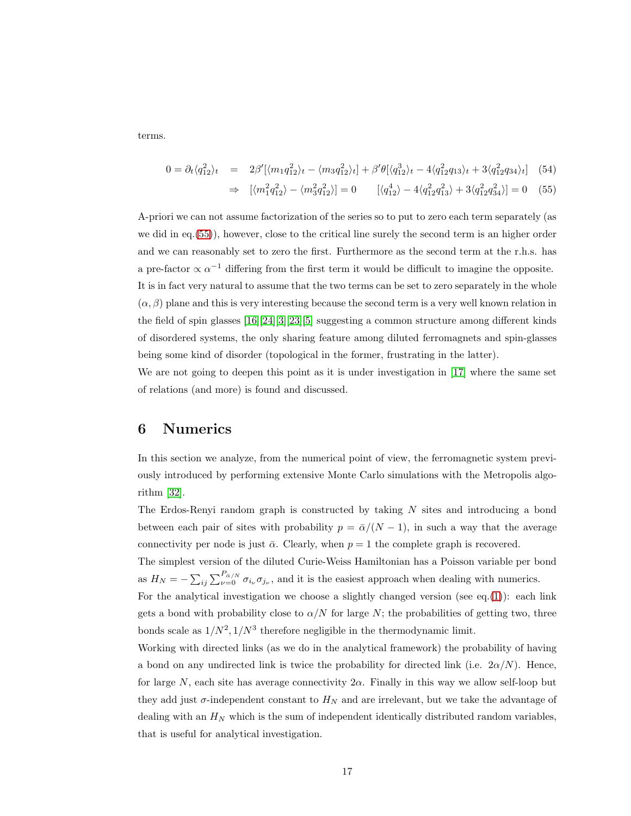terms.

<span id="page-16-1"></span>
$$
0 = \partial_t \langle q_{12}^2 \rangle_t = 2\beta' [\langle m_1 q_{12}^2 \rangle_t - \langle m_3 q_{12}^2 \rangle_t] + \beta' \theta [\langle q_{12}^3 \rangle_t - 4 \langle q_{12}^2 q_{13} \rangle_t + 3 \langle q_{12}^2 q_{34} \rangle_t] (54)
$$

$$
\Rightarrow \left[ \langle m_1^2 q_{12}^2 \rangle - \langle m_3^2 q_{12}^2 \rangle \right] = 0 \qquad \left[ \langle q_{12}^4 \rangle - 4 \langle q_{12}^2 q_{13}^2 \rangle + 3 \langle q_{12}^2 q_{34}^2 \rangle \right] = 0 \quad (55)
$$

A-priori we can not assume factorization of the series so to put to zero each term separately (as we did in eq.[\(55\)](#page-16-1)), however, close to the critical line surely the second term is an higher order and we can reasonably set to zero the first. Furthermore as the second term at the r.h.s. has a pre-factor  $\propto \alpha^{-1}$  differing from the first term it would be difficult to imagine the opposite. It is in fact very natural to assume that the two terms can be set to zero separately in the whole  $(\alpha, \beta)$  plane and this is very interesting because the second term is a very well known relation in the field of spin glasses [\[16\]](#page-21-12)[\[24\]](#page-21-13)[\[3\]](#page-20-1)[\[23\]](#page-21-14)[\[5\]](#page-20-2) suggesting a common structure among different kinds of disordered systems, the only sharing feature among diluted ferromagnets and spin-glasses being some kind of disorder (topological in the former, frustrating in the latter).

We are not going to deepen this point as it is under investigation in [\[17\]](#page-21-15) where the same set of relations (and more) is found and discussed.

## <span id="page-16-0"></span>6 Numerics

In this section we analyze, from the numerical point of view, the ferromagnetic system previously introduced by performing extensive Monte Carlo simulations with the Metropolis algorithm [\[32\]](#page-22-9).

The Erdos-Renyi random graph is constructed by taking  $N$  sites and introducing a bond between each pair of sites with probability  $p = \bar{\alpha}/(N-1)$ , in such a way that the average connectivity per node is just  $\bar{\alpha}$ . Clearly, when  $p = 1$  the complete graph is recovered.

The simplest version of the diluted Curie-Weiss Hamiltonian has a Poisson variable per bond as  $H_N = -\sum_{ij} \sum_{\nu=0}^{P_{\bar{\alpha}}/N} \sigma_{i_{\nu}} \sigma_{j_{\nu}}$ , and it is the easiest approach when dealing with numerics.

For the analytical investigation we choose a slightly changed version (see eq.[\(1\)](#page-1-1)): each link gets a bond with probability close to  $\alpha/N$  for large N; the probabilities of getting two, three bonds scale as  $1/N^2$ ,  $1/N^3$  therefore negligible in the thermodynamic limit.

Working with directed links (as we do in the analytical framework) the probability of having a bond on any undirected link is twice the probability for directed link (i.e.  $2\alpha/N$ ). Hence, for large N, each site has average connectivity  $2\alpha$ . Finally in this way we allow self-loop but they add just  $\sigma$ -independent constant to  $H_N$  and are irrelevant, but we take the advantage of dealing with an  $H_N$  which is the sum of independent identically distributed random variables, that is useful for analytical investigation.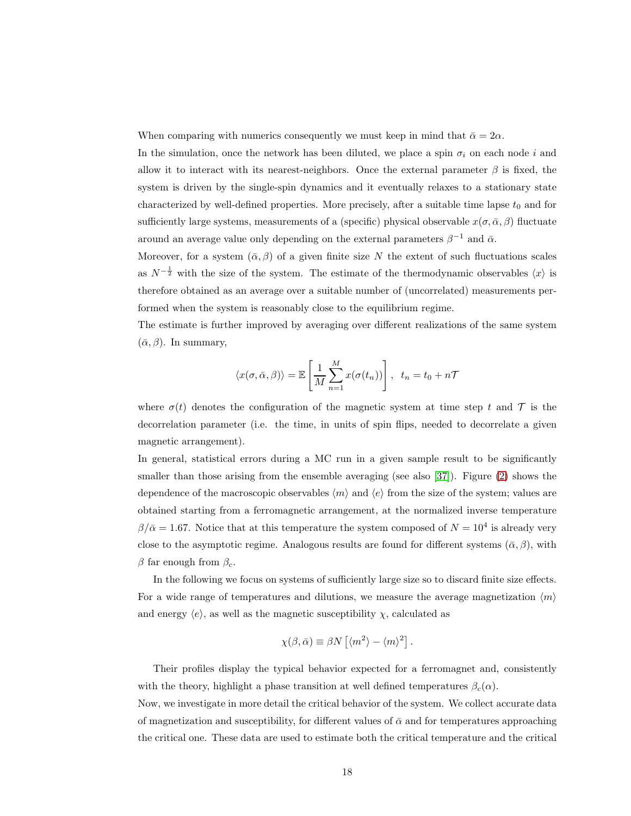When comparing with numerics consequently we must keep in mind that  $\bar{\alpha} = 2\alpha$ .

In the simulation, once the network has been diluted, we place a spin  $\sigma_i$  on each node i and allow it to interact with its nearest-neighbors. Once the external parameter  $\beta$  is fixed, the system is driven by the single-spin dynamics and it eventually relaxes to a stationary state characterized by well-defined properties. More precisely, after a suitable time lapse  $t_0$  and for sufficiently large systems, measurements of a (specific) physical observable  $x(\sigma, \bar{\alpha}, \beta)$  fluctuate around an average value only depending on the external parameters  $\beta^{-1}$  and  $\bar{\alpha}$ .

Moreover, for a system  $(\bar{\alpha}, \beta)$  of a given finite size N the extent of such fluctuations scales as  $N^{-\frac{1}{2}}$  with the size of the system. The estimate of the thermodynamic observables  $\langle x \rangle$  is therefore obtained as an average over a suitable number of (uncorrelated) measurements performed when the system is reasonably close to the equilibrium regime.

The estimate is further improved by averaging over different realizations of the same system  $(\bar{\alpha}, \beta)$ . In summary,

$$
\langle x(\sigma, \bar{\alpha}, \beta) \rangle = \mathbb{E}\left[\frac{1}{M} \sum_{n=1}^{M} x(\sigma(t_n))\right], t_n = t_0 + n\mathcal{T}
$$

where  $\sigma(t)$  denotes the configuration of the magnetic system at time step t and T is the decorrelation parameter (i.e. the time, in units of spin flips, needed to decorrelate a given magnetic arrangement).

In general, statistical errors during a MC run in a given sample result to be significantly smaller than those arising from the ensemble averaging (see also [\[37\]](#page-22-10)). Figure [\(2\)](#page-18-0) shows the dependence of the macroscopic observables  $\langle m \rangle$  and  $\langle e \rangle$  from the size of the system; values are obtained starting from a ferromagnetic arrangement, at the normalized inverse temperature  $\beta/\bar{\alpha} = 1.67$ . Notice that at this temperature the system composed of  $N = 10^4$  is already very close to the asymptotic regime. Analogous results are found for different systems ( $\bar{\alpha}$ ,  $\beta$ ), with β far enough from  $β_c$ .

In the following we focus on systems of sufficiently large size so to discard finite size effects. For a wide range of temperatures and dilutions, we measure the average magnetization  $\langle m \rangle$ and energy  $\langle e \rangle$ , as well as the magnetic susceptibility  $\chi$ , calculated as

$$
\chi(\beta,\bar{\alpha}) \equiv \beta N \left[ \langle m^2 \rangle - \langle m \rangle^2 \right].
$$

Their profiles display the typical behavior expected for a ferromagnet and, consistently with the theory, highlight a phase transition at well defined temperatures  $\beta_c(\alpha)$ .

Now, we investigate in more detail the critical behavior of the system. We collect accurate data of magnetization and susceptibility, for different values of  $\bar{\alpha}$  and for temperatures approaching the critical one. These data are used to estimate both the critical temperature and the critical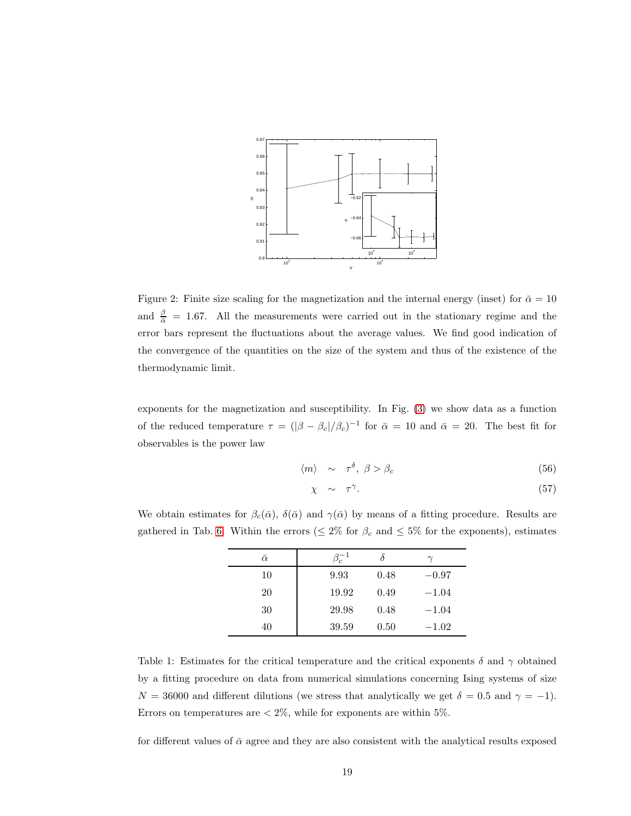

<span id="page-18-0"></span>Figure 2: Finite size scaling for the magnetization and the internal energy (inset) for  $\bar{\alpha} = 10$ and  $\frac{\beta}{\alpha}$  = 1.67. All the measurements were carried out in the stationary regime and the error bars represent the fluctuations about the average values. We find good indication of the convergence of the quantities on the size of the system and thus of the existence of the thermodynamic limit.

exponents for the magnetization and susceptibility. In Fig. [\(3\)](#page-19-1) we show data as a function of the reduced temperature  $\tau = (|\beta - \beta_c|/\beta_c)^{-1}$  for  $\bar{\alpha} = 10$  and  $\bar{\alpha} = 20$ . The best fit for observables is the power law

<span id="page-18-1"></span>
$$
\langle m \rangle \sim \tau^{\delta}, \ \beta > \beta_c \tag{56}
$$

$$
\chi \sim \tau^{\gamma}.
$$
 (57)

We obtain estimates for  $\beta_c(\bar{\alpha})$ ,  $\delta(\bar{\alpha})$  and  $\gamma(\bar{\alpha})$  by means of a fitting procedure. Results are gathered in Tab. [6.](#page-18-1) Within the errors ( $\leq 2\%$  for  $\beta_c$  and  $\leq 5\%$  for the exponents), estimates

| $\bar{\alpha}$ | $\beta_c^{-1}$ |      |         |
|----------------|----------------|------|---------|
| 10             | 9.93           | 0.48 | $-0.97$ |
| 20             | 19.92          | 0.49 | $-1.04$ |
| 30             | 29.98          | 0.48 | $-1.04$ |
| 40             | 39.59          | 0.50 | $-1.02$ |

Table 1: Estimates for the critical temperature and the critical exponents  $\delta$  and  $\gamma$  obtained by a fitting procedure on data from numerical simulations concerning Ising systems of size  $N = 36000$  and different dilutions (we stress that analytically we get  $\delta = 0.5$  and  $\gamma = -1$ ). Errors on temperatures are  $\langle 2\%,$  while for exponents are within 5%.

for different values of  $\bar{\alpha}$  agree and they are also consistent with the analytical results exposed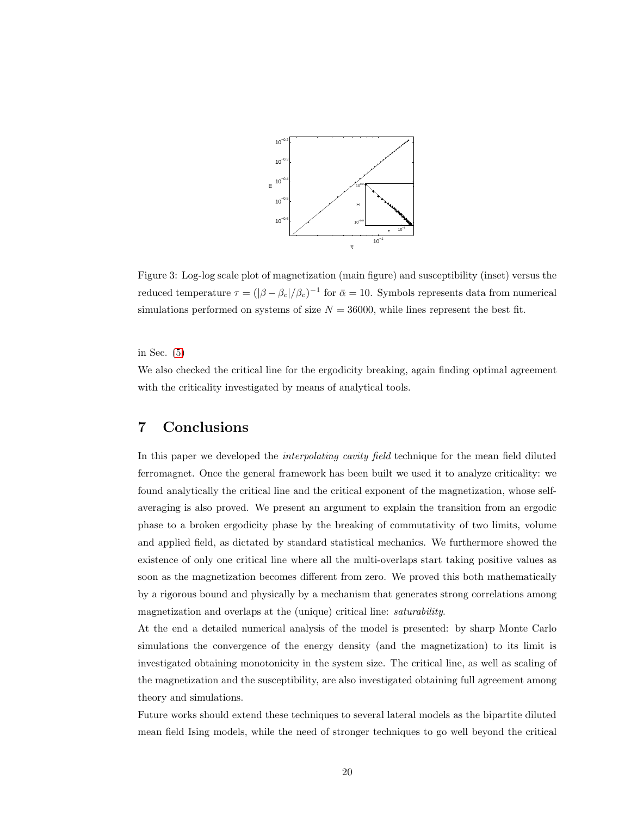

<span id="page-19-1"></span>Figure 3: Log-log scale plot of magnetization (main figure) and susceptibility (inset) versus the reduced temperature  $\tau = (|\beta - \beta_c|/\beta_c)^{-1}$  for  $\bar{\alpha} = 10$ . Symbols represents data from numerical simulations performed on systems of size  $N = 36000$ , while lines represent the best fit.

in Sec. [\(5\)](#page-10-0)

We also checked the critical line for the ergodicity breaking, again finding optimal agreement with the criticality investigated by means of analytical tools.

# <span id="page-19-0"></span>7 Conclusions

In this paper we developed the *interpolating cavity field* technique for the mean field diluted ferromagnet. Once the general framework has been built we used it to analyze criticality: we found analytically the critical line and the critical exponent of the magnetization, whose selfaveraging is also proved. We present an argument to explain the transition from an ergodic phase to a broken ergodicity phase by the breaking of commutativity of two limits, volume and applied field, as dictated by standard statistical mechanics. We furthermore showed the existence of only one critical line where all the multi-overlaps start taking positive values as soon as the magnetization becomes different from zero. We proved this both mathematically by a rigorous bound and physically by a mechanism that generates strong correlations among magnetization and overlaps at the (unique) critical line: saturability.

At the end a detailed numerical analysis of the model is presented: by sharp Monte Carlo simulations the convergence of the energy density (and the magnetization) to its limit is investigated obtaining monotonicity in the system size. The critical line, as well as scaling of the magnetization and the susceptibility, are also investigated obtaining full agreement among theory and simulations.

Future works should extend these techniques to several lateral models as the bipartite diluted mean field Ising models, while the need of stronger techniques to go well beyond the critical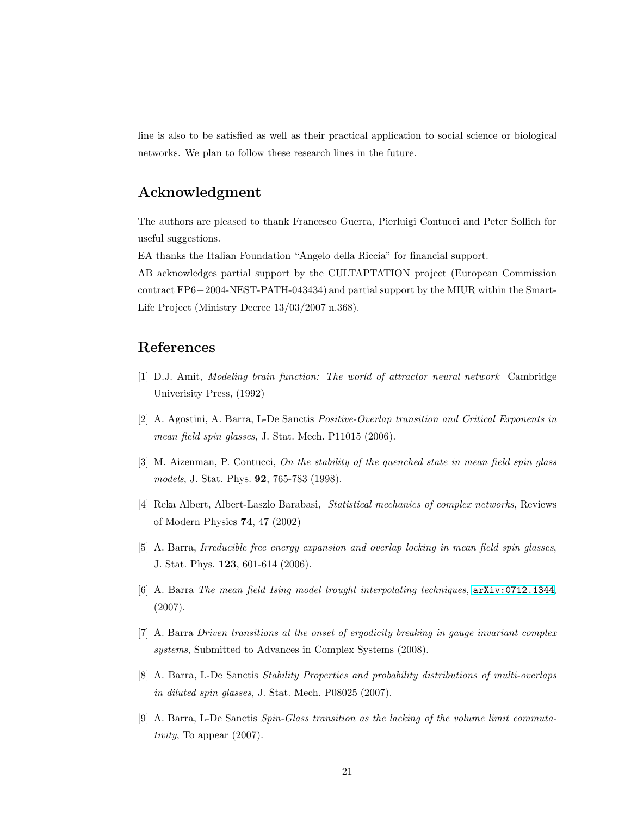line is also to be satisfied as well as their practical application to social science or biological networks. We plan to follow these research lines in the future.

## Acknowledgment

The authors are pleased to thank Francesco Guerra, Pierluigi Contucci and Peter Sollich for useful suggestions.

EA thanks the Italian Foundation "Angelo della Riccia" for financial support.

AB acknowledges partial support by the CULTAPTATION project (European Commission contract FP6−2004-NEST-PATH-043434) and partial support by the MIUR within the Smart-Life Project (Ministry Decree 13/03/2007 n.368).

# <span id="page-20-5"></span>References

- <span id="page-20-3"></span>[1] D.J. Amit, Modeling brain function: The world of attractor neural network Cambridge Univerisity Press, (1992)
- <span id="page-20-1"></span>[2] A. Agostini, A. Barra, L-De Sanctis Positive-Overlap transition and Critical Exponents in mean field spin glasses, J. Stat. Mech. P11015 (2006).
- [3] M. Aizenman, P. Contucci, On the stability of the quenched state in mean field spin glass models, J. Stat. Phys. 92, 765-783 (1998).
- <span id="page-20-2"></span>[4] Reka Albert, Albert-Laszlo Barabasi, Statistical mechanics of complex networks, Reviews of Modern Physics 74, 47 (2002)
- <span id="page-20-0"></span>[5] A. Barra, Irreducible free energy expansion and overlap locking in mean field spin glasses, J. Stat. Phys. 123, 601-614 (2006).
- <span id="page-20-7"></span>[6] A. Barra The mean field Ising model trought interpolating techniques, [arXiv:0712.1344](http://arxiv.org/abs/0712.1344), (2007).
- <span id="page-20-4"></span>[7] A. Barra Driven transitions at the onset of ergodicity breaking in gauge invariant complex systems, Submitted to Advances in Complex Systems (2008).
- <span id="page-20-6"></span>[8] A. Barra, L-De Sanctis Stability Properties and probability distributions of multi-overlaps in diluted spin glasses, J. Stat. Mech. P08025 (2007).
- [9] A. Barra, L-De Sanctis Spin-Glass transition as the lacking of the volume limit commutativity, To appear (2007).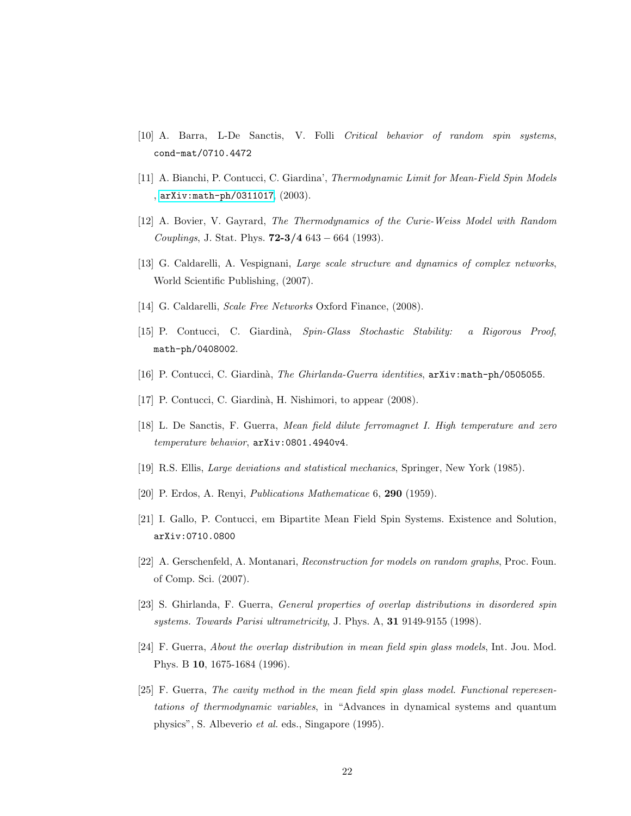- <span id="page-21-10"></span><span id="page-21-8"></span>[10] A. Barra, L-De Sanctis, V. Folli Critical behavior of random spin systems, cond-mat/0710.4472
- <span id="page-21-3"></span>[11] A. Bianchi, P. Contucci, C. Giardina', Thermodynamic Limit for Mean-Field Spin Models , [arXiv:math-ph/0311017](http://arxiv.org/abs/math-ph/0311017), (2003).
- <span id="page-21-0"></span>[12] A. Bovier, V. Gayrard, The Thermodynamics of the Curie-Weiss Model with Random Couplings, J. Stat. Phys.  $72-3/4$  643 – 664 (1993).
- <span id="page-21-1"></span>[13] G. Caldarelli, A. Vespignani, Large scale structure and dynamics of complex networks, World Scientific Publishing, (2007).
- <span id="page-21-11"></span>[14] G. Caldarelli, Scale Free Networks Oxford Finance, (2008).
- <span id="page-21-12"></span>[15] P. Contucci, C. Giardin`a, Spin-Glass Stochastic Stability: a Rigorous Proof, math-ph/0408002.
- <span id="page-21-15"></span>[16] P. Contucci, C. Giardinà, The Ghirlanda-Guerra identities, arXiv:math-ph/0505055.
- <span id="page-21-7"></span>[17] P. Contucci, C. Giardinà, H. Nishimori, to appear (2008).
- <span id="page-21-2"></span>[18] L. De Sanctis, F. Guerra, Mean field dilute ferromagnet I. High temperature and zero temperature behavior, arXiv:0801.4940v4.
- <span id="page-21-5"></span>[19] R.S. Ellis, Large deviations and statistical mechanics, Springer, New York (1985).
- <span id="page-21-4"></span>[20] P. Erdos, A. Renyi, Publications Mathematicae 6, 290 (1959).
- <span id="page-21-6"></span>[21] I. Gallo, P. Contucci, em Bipartite Mean Field Spin Systems. Existence and Solution, arXiv:0710.0800
- <span id="page-21-14"></span>[22] A. Gerschenfeld, A. Montanari, Reconstruction for models on random graphs, Proc. Foun. of Comp. Sci. (2007).
- <span id="page-21-13"></span>[23] S. Ghirlanda, F. Guerra, General properties of overlap distributions in disordered spin systems. Towards Parisi ultrametricity, J. Phys. A, 31 9149-9155 (1998).
- <span id="page-21-9"></span>[24] F. Guerra, About the overlap distribution in mean field spin glass models, Int. Jou. Mod. Phys. B 10, 1675-1684 (1996).
- [25] F. Guerra, The cavity method in the mean field spin glass model. Functional reperesentations of thermodynamic variables, in "Advances in dynamical systems and quantum physics", S. Albeverio et al. eds., Singapore (1995).